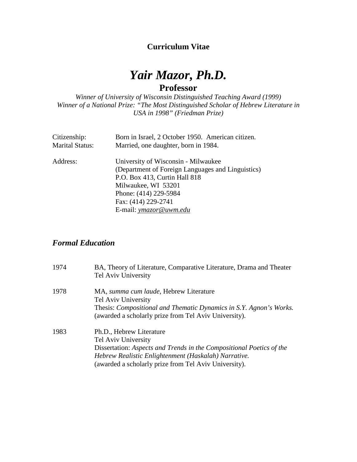### **Curriculum Vitae**

# *Yair Mazor, Ph.D.* **Professor**

*Winner of University of Wisconsin Distinguished Teaching Award (1999) Winner of a National Prize: "The Most Distinguished Scholar of Hebrew Literature in USA in 1998" (Friedman Prize)*

| Citizenship:           | Born in Israel, 2 October 1950. American citizen. |
|------------------------|---------------------------------------------------|
| <b>Marital Status:</b> | Married, one daughter, born in 1984.              |
| Address:               | University of Wisconsin - Milwaukee               |
|                        | (Department of Foreign Languages and Linguistics) |
|                        | P.O. Box 413, Curtin Hall 818                     |
|                        | Milwaukee, WI 53201                               |
|                        | Phone: (414) 229-5984                             |
|                        | Fax: (414) 229-2741                               |
|                        | E-mail: ymazor@uwm.edu                            |

### *Formal Education*

| 1974 | BA, Theory of Literature, Comparative Literature, Drama and Theater<br>Tel Aviv University                                                                                                                                               |
|------|------------------------------------------------------------------------------------------------------------------------------------------------------------------------------------------------------------------------------------------|
| 1978 | MA, summa cum laude, Hebrew Literature<br>Tel Aviv University<br>Thesis: Compositional and Thematic Dynamics in S.Y. Agnon's Works.<br>(awarded a scholarly prize from Tel Aviv University).                                             |
| 1983 | Ph.D., Hebrew Literature<br>Tel Aviv University<br>Dissertation: Aspects and Trends in the Compositional Poetics of the<br>Hebrew Realistic Enlightenment (Haskalah) Narrative.<br>(awarded a scholarly prize from Tel Aviv University). |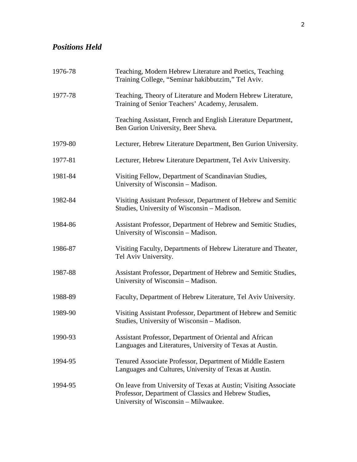# *Positions Held*

| 1976-78 | Teaching, Modern Hebrew Literature and Poetics, Teaching<br>Training College, "Seminar hakibbutzim," Tel Aviv.                                                   |
|---------|------------------------------------------------------------------------------------------------------------------------------------------------------------------|
| 1977-78 | Teaching, Theory of Literature and Modern Hebrew Literature,<br>Training of Senior Teachers' Academy, Jerusalem.                                                 |
|         | Teaching Assistant, French and English Literature Department,<br>Ben Gurion University, Beer Sheva.                                                              |
| 1979-80 | Lecturer, Hebrew Literature Department, Ben Gurion University.                                                                                                   |
| 1977-81 | Lecturer, Hebrew Literature Department, Tel Aviv University.                                                                                                     |
| 1981-84 | Visiting Fellow, Department of Scandinavian Studies,<br>University of Wisconsin - Madison.                                                                       |
| 1982-84 | Visiting Assistant Professor, Department of Hebrew and Semitic<br>Studies, University of Wisconsin - Madison.                                                    |
| 1984-86 | Assistant Professor, Department of Hebrew and Semitic Studies,<br>University of Wisconsin - Madison.                                                             |
| 1986-87 | Visiting Faculty, Departments of Hebrew Literature and Theater,<br>Tel Aviv University.                                                                          |
| 1987-88 | Assistant Professor, Department of Hebrew and Semitic Studies,<br>University of Wisconsin - Madison.                                                             |
| 1988-89 | Faculty, Department of Hebrew Literature, Tel Aviv University.                                                                                                   |
| 1989-90 | Visiting Assistant Professor, Department of Hebrew and Semitic<br>Studies, University of Wisconsin - Madison.                                                    |
| 1990-93 | Assistant Professor, Department of Oriental and African<br>Languages and Literatures, University of Texas at Austin.                                             |
| 1994-95 | Tenured Associate Professor, Department of Middle Eastern<br>Languages and Cultures, University of Texas at Austin.                                              |
| 1994-95 | On leave from University of Texas at Austin; Visiting Associate<br>Professor, Department of Classics and Hebrew Studies,<br>University of Wisconsin - Milwaukee. |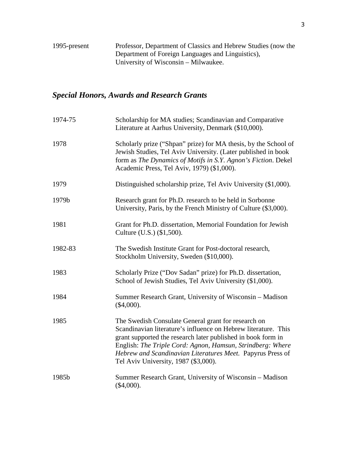## *Special Honors, Awards and Research Grants*

| 1974-75 | Scholarship for MA studies; Scandinavian and Comparative<br>Literature at Aarhus University, Denmark (\$10,000).                                                                                                                                                                                                                                          |
|---------|-----------------------------------------------------------------------------------------------------------------------------------------------------------------------------------------------------------------------------------------------------------------------------------------------------------------------------------------------------------|
| 1978    | Scholarly prize ("Shpan" prize) for MA thesis, by the School of<br>Jewish Studies, Tel Aviv University. (Later published in book<br>form as The Dynamics of Motifs in S.Y. Agnon's Fiction. Dekel<br>Academic Press, Tel Aviv, 1979) (\$1,000).                                                                                                           |
| 1979    | Distinguished scholarship prize, Tel Aviv University (\$1,000).                                                                                                                                                                                                                                                                                           |
| 1979b   | Research grant for Ph.D. research to be held in Sorbonne<br>University, Paris, by the French Ministry of Culture (\$3,000).                                                                                                                                                                                                                               |
| 1981    | Grant for Ph.D. dissertation, Memorial Foundation for Jewish<br>Culture (U.S.) (\$1,500).                                                                                                                                                                                                                                                                 |
| 1982-83 | The Swedish Institute Grant for Post-doctoral research,<br>Stockholm University, Sweden (\$10,000).                                                                                                                                                                                                                                                       |
| 1983    | Scholarly Prize ("Dov Sadan" prize) for Ph.D. dissertation,<br>School of Jewish Studies, Tel Aviv University (\$1,000).                                                                                                                                                                                                                                   |
| 1984    | Summer Research Grant, University of Wisconsin – Madison<br>$(\$4,000).$                                                                                                                                                                                                                                                                                  |
| 1985    | The Swedish Consulate General grant for research on<br>Scandinavian literature's influence on Hebrew literature. This<br>grant supported the research later published in book form in<br>English: The Triple Cord: Agnon, Hamsun, Strindberg: Where<br>Hebrew and Scandinavian Literatures Meet. Papyrus Press of<br>Tel Aviv University, 1987 (\$3,000). |
| 1985b   | Summer Research Grant, University of Wisconsin - Madison<br>$(\$4,000).$                                                                                                                                                                                                                                                                                  |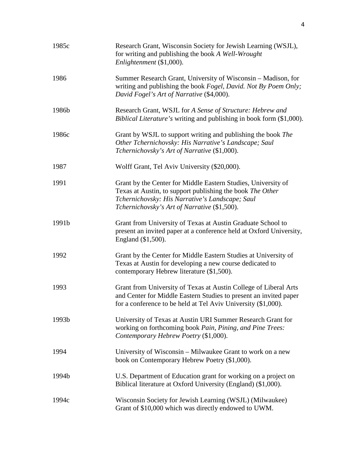| 1985c | Research Grant, Wisconsin Society for Jewish Learning (WSJL),<br>for writing and publishing the book A Well-Wrought<br>Enlightenment (\$1,000).                                                                               |
|-------|-------------------------------------------------------------------------------------------------------------------------------------------------------------------------------------------------------------------------------|
| 1986  | Summer Research Grant, University of Wisconsin – Madison, for<br>writing and publishing the book Fogel, David. Not By Poem Only;<br>David Fogel's Art of Narrative (\$4,000).                                                 |
| 1986b | Research Grant, WSJL for A Sense of Structure: Hebrew and<br>Biblical Literature's writing and publishing in book form (\$1,000).                                                                                             |
| 1986c | Grant by WSJL to support writing and publishing the book The<br>Other Tchernichovsky: His Narrative's Landscape; Saul<br>Tchernichovsky's Art of Narrative (\$1,000).                                                         |
| 1987  | Wolff Grant, Tel Aviv University (\$20,000).                                                                                                                                                                                  |
| 1991  | Grant by the Center for Middle Eastern Studies, University of<br>Texas at Austin, to support publishing the book The Other<br>Tchernichovsky: His Narrative's Landscape; Saul<br>Tchernichovsky's Art of Narrative (\$1,500). |
| 1991b | Grant from University of Texas at Austin Graduate School to<br>present an invited paper at a conference held at Oxford University,<br>England (\$1,500).                                                                      |
| 1992  | Grant by the Center for Middle Eastern Studies at University of<br>Texas at Austin for developing a new course dedicated to<br>contemporary Hebrew literature (\$1,500).                                                      |
| 1993  | Grant from University of Texas at Austin College of Liberal Arts<br>and Center for Middle Eastern Studies to present an invited paper<br>for a conference to be held at Tel Aviv University (\$1,000).                        |
| 1993b | University of Texas at Austin URI Summer Research Grant for<br>working on forthcoming book Pain, Pining, and Pine Trees:<br>Contemporary Hebrew Poetry (\$1,000).                                                             |
| 1994  | University of Wisconsin – Milwaukee Grant to work on a new<br>book on Contemporary Hebrew Poetry (\$1,000).                                                                                                                   |
| 1994b | U.S. Department of Education grant for working on a project on<br>Biblical literature at Oxford University (England) (\$1,000).                                                                                               |
| 1994c | Wisconsin Society for Jewish Learning (WSJL) (Milwaukee)<br>Grant of \$10,000 which was directly endowed to UWM.                                                                                                              |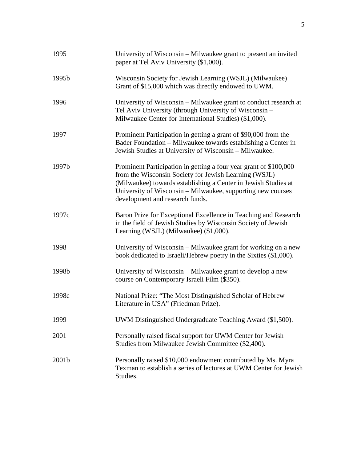| 1995  | University of Wisconsin – Milwaukee grant to present an invited<br>paper at Tel Aviv University (\$1,000).                                                                                                                                                                                     |
|-------|------------------------------------------------------------------------------------------------------------------------------------------------------------------------------------------------------------------------------------------------------------------------------------------------|
| 1995b | Wisconsin Society for Jewish Learning (WSJL) (Milwaukee)<br>Grant of \$15,000 which was directly endowed to UWM.                                                                                                                                                                               |
| 1996  | University of Wisconsin - Milwaukee grant to conduct research at<br>Tel Aviv University (through University of Wisconsin -<br>Milwaukee Center for International Studies) (\$1,000).                                                                                                           |
| 1997  | Prominent Participation in getting a grant of \$90,000 from the<br>Bader Foundation – Milwaukee towards establishing a Center in<br>Jewish Studies at University of Wisconsin - Milwaukee.                                                                                                     |
| 1997b | Prominent Participation in getting a four year grant of \$100,000<br>from the Wisconsin Society for Jewish Learning (WSJL)<br>(Milwaukee) towards establishing a Center in Jewish Studies at<br>University of Wisconsin - Milwaukee, supporting new courses<br>development and research funds. |
| 1997c | Baron Prize for Exceptional Excellence in Teaching and Research<br>in the field of Jewish Studies by Wisconsin Society of Jewish<br>Learning (WSJL) (Milwaukee) (\$1,000).                                                                                                                     |
| 1998  | University of Wisconsin – Milwaukee grant for working on a new<br>book dedicated to Israeli/Hebrew poetry in the Sixties (\$1,000).                                                                                                                                                            |
| 1998b | University of Wisconsin – Milwaukee grant to develop a new<br>course on Contemporary Israeli Film (\$350).                                                                                                                                                                                     |
| 1998c | National Prize: "The Most Distinguished Scholar of Hebrew<br>Literature in USA" (Friedman Prize).                                                                                                                                                                                              |
| 1999  | UWM Distinguished Undergraduate Teaching Award (\$1,500).                                                                                                                                                                                                                                      |
| 2001  | Personally raised fiscal support for UWM Center for Jewish<br>Studies from Milwaukee Jewish Committee (\$2,400).                                                                                                                                                                               |
| 2001b | Personally raised \$10,000 endowment contributed by Ms. Myra<br>Texman to establish a series of lectures at UWM Center for Jewish<br>Studies.                                                                                                                                                  |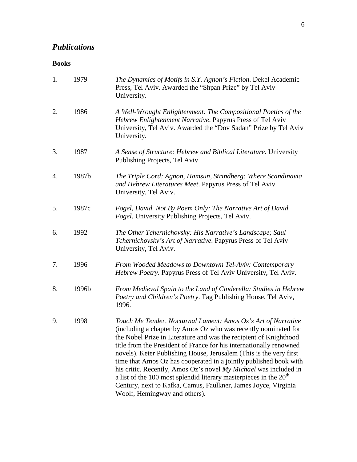## *Publications*

#### **Books**

| 1. | 1979  | The Dynamics of Motifs in S.Y. Agnon's Fiction. Dekel Academic<br>Press, Tel Aviv. Awarded the "Shpan Prize" by Tel Aviv<br>University.                                                                                                                                                                                                                                                                                                                                                                                                                                                                                                                              |
|----|-------|----------------------------------------------------------------------------------------------------------------------------------------------------------------------------------------------------------------------------------------------------------------------------------------------------------------------------------------------------------------------------------------------------------------------------------------------------------------------------------------------------------------------------------------------------------------------------------------------------------------------------------------------------------------------|
| 2. | 1986  | A Well-Wrought Enlightenment: The Compositional Poetics of the<br>Hebrew Enlightenment Narrative. Papyrus Press of Tel Aviv<br>University, Tel Aviv. Awarded the "Dov Sadan" Prize by Tel Aviv<br>University.                                                                                                                                                                                                                                                                                                                                                                                                                                                        |
| 3. | 1987  | A Sense of Structure: Hebrew and Biblical Literature. University<br>Publishing Projects, Tel Aviv.                                                                                                                                                                                                                                                                                                                                                                                                                                                                                                                                                                   |
| 4. | 1987b | The Triple Cord: Agnon, Hamsun, Strindberg: Where Scandinavia<br>and Hebrew Literatures Meet. Papyrus Press of Tel Aviv<br>University, Tel Aviv.                                                                                                                                                                                                                                                                                                                                                                                                                                                                                                                     |
| 5. | 1987c | Fogel, David. Not By Poem Only: The Narrative Art of David<br><i>Fogel</i> . University Publishing Projects, Tel Aviv.                                                                                                                                                                                                                                                                                                                                                                                                                                                                                                                                               |
| 6. | 1992  | The Other Tchernichovsky: His Narrative's Landscape; Saul<br>Tchernichovsky's Art of Narrative. Papyrus Press of Tel Aviv<br>University, Tel Aviv.                                                                                                                                                                                                                                                                                                                                                                                                                                                                                                                   |
| 7. | 1996  | From Wooded Meadows to Downtown Tel-Aviv: Contemporary<br>Hebrew Poetry. Papyrus Press of Tel Aviv University, Tel Aviv.                                                                                                                                                                                                                                                                                                                                                                                                                                                                                                                                             |
| 8. | 1996b | From Medieval Spain to the Land of Cinderella: Studies in Hebrew<br>Poetry and Children's Poetry. Tag Publishing House, Tel Aviv,<br>1996.                                                                                                                                                                                                                                                                                                                                                                                                                                                                                                                           |
| 9. | 1998  | Touch Me Tender, Nocturnal Lament: Amos Oz's Art of Narrative<br>(including a chapter by Amos Oz who was recently nominated for<br>the Nobel Prize in Literature and was the recipient of Knighthood<br>title from the President of France for his internationally renowned<br>novels). Keter Publishing House, Jerusalem (This is the very first<br>time that Amos Oz has cooperated in a jointly published book with<br>his critic. Recently, Amos Oz's novel My Michael was included in<br>a list of the 100 most splendid literary masterpieces in the $20th$<br>Century, next to Kafka, Camus, Faulkner, James Joyce, Virginia<br>Woolf, Hemingway and others). |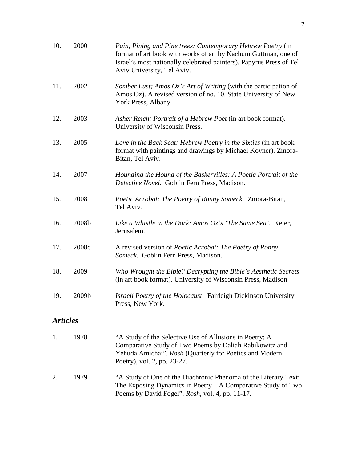| 10.             | 2000  | Pain, Pining and Pine trees: Contemporary Hebrew Poetry (in<br>format of art book with works of art by Nachum Guttman, one of<br>Israel's most nationally celebrated painters). Papyrus Press of Tel<br>Aviv University, Tel Aviv. |
|-----------------|-------|------------------------------------------------------------------------------------------------------------------------------------------------------------------------------------------------------------------------------------|
| 11.             | 2002  | Somber Lust; Amos $Oz$ 's Art of Writing (with the participation of<br>Amos Oz). A revised version of no. 10. State University of New<br>York Press, Albany.                                                                       |
| 12.             | 2003  | Asher Reich: Portrait of a Hebrew Poet (in art book format).<br>University of Wisconsin Press.                                                                                                                                     |
| 13.             | 2005  | Love in the Back Seat: Hebrew Poetry in the Sixties (in art book<br>format with paintings and drawings by Michael Kovner). Zmora-<br>Bitan, Tel Aviv.                                                                              |
| 14.             | 2007  | Hounding the Hound of the Baskervilles: A Poetic Portrait of the<br>Detective Novel. Goblin Fern Press, Madison.                                                                                                                   |
| 15.             | 2008  | <i>Poetic Acrobat: The Poetry of Ronny Someck. Zmora-Bitan,</i><br>Tel Aviv.                                                                                                                                                       |
| 16.             | 2008b | Like a Whistle in the Dark: Amos $Oz$ 's 'The Same Sea'. Keter,<br>Jerusalem.                                                                                                                                                      |
| 17.             | 2008c | A revised version of <i>Poetic Acrobat: The Poetry of Ronny</i><br>Someck. Goblin Fern Press, Madison.                                                                                                                             |
| 18.             | 2009  | Who Wrought the Bible? Decrypting the Bible's Aesthetic Secrets<br>(in art book format). University of Wisconsin Press, Madison                                                                                                    |
| 19.             | 2009b | Israeli Poetry of the Holocaust. Fairleigh Dickinson University<br>Press, New York.                                                                                                                                                |
| <b>Articles</b> |       |                                                                                                                                                                                                                                    |
| 1.              | 1978  | "A Study of the Selective Use of Allusions in Poetry; A<br>Comparative Study of Two Poems by Daliah Rabikowitz and<br>Yehuda Amichai". Rosh (Quarterly for Poetics and Modern<br>Poetry), vol. 2, pp. 23-27.                       |

2. 1979 "A Study of One of the Diachronic Phenoma of the Literary Text: The Exposing Dynamics in Poetry – A Comparative Study of Two Poems by David Fogel". *Rosh*, vol. 4, pp. 11-17.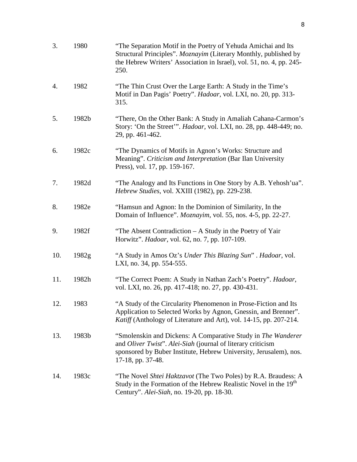| 3.  | 1980  | "The Separation Motif in the Poetry of Yehuda Amichai and Its<br>Structural Principles". Moznayim (Literary Monthly, published by<br>the Hebrew Writers' Association in Israel), vol. 51, no. 4, pp. 245-<br>250.     |
|-----|-------|-----------------------------------------------------------------------------------------------------------------------------------------------------------------------------------------------------------------------|
| 4.  | 1982  | "The Thin Crust Over the Large Earth: A Study in the Time's<br>Motif in Dan Pagis' Poetry". Hadoar, vol. LXI, no. 20, pp. 313-<br>315.                                                                                |
| 5.  | 1982b | "There, On the Other Bank: A Study in Amaliah Cahana-Carmon's<br>Story: 'On the Street'". Hadoar, vol. LXI, no. 28, pp. 448-449; no.<br>29, pp. 461-462.                                                              |
| 6.  | 1982c | "The Dynamics of Motifs in Agnon's Works: Structure and<br>Meaning". Criticism and Interpretation (Bar Ilan University<br>Press), vol. 17, pp. 159-167.                                                               |
| 7.  | 1982d | "The Analogy and Its Functions in One Story by A.B. Yehosh'ua".<br>Hebrew Studies, vol. XXIII (1982), pp. 229-238.                                                                                                    |
| 8.  | 1982e | "Hamsun and Agnon: In the Dominion of Similarity, In the<br>Domain of Influence". Moznayim, vol. 55, nos. 4-5, pp. 22-27.                                                                                             |
| 9.  | 1982f | "The Absent Contradiction - A Study in the Poetry of Yair<br>Horwitz". <i>Hadoar</i> , vol. 62, no. 7, pp. 107-109.                                                                                                   |
| 10. | 1982g | "A Study in Amos Oz's Under This Blazing Sun". Hadoar, vol.<br>LXI, no. 34, pp. 554-555.                                                                                                                              |
| 11. | 1982h | "The Correct Poem: A Study in Nathan Zach's Poetry". Hadoar,<br>vol. LXI, no. 26, pp. 417-418; no. 27, pp. 430-431.                                                                                                   |
| 12. | 1983  | "A Study of the Circularity Phenomenon in Prose-Fiction and Its<br>Application to Selected Works by Agnon, Gnessin, and Brenner".<br><i>Katiff</i> (Anthology of Literature and Art), vol. 14-15, pp. 207-214.        |
| 13. | 1983b | "Smolenskin and Dickens: A Comparative Study in The Wanderer<br>and Oliver Twist". Alei-Siah (journal of literary criticism<br>sponsored by Buber Institute, Hebrew University, Jerusalem), nos.<br>17-18, pp. 37-48. |
| 14. | 1983c | "The Novel Shtei Haktzavot (The Two Poles) by R.A. Braudess: A<br>Study in the Formation of the Hebrew Realistic Novel in the 19 <sup>th</sup><br>Century". Alei-Siah, no. 19-20, pp. 18-30.                          |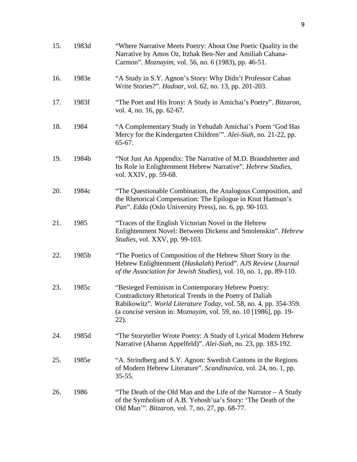| 15. | 1983d | "Where Narrative Meets Poetry: About One Poetic Quality in the<br>Narrative by Amos Oz, Itzhak Ben-Ner and Amiliah Cahana-<br>Carmon". Moznayim, vol. 56, no. 6 (1983), pp. 46-51.                                                                                       |
|-----|-------|--------------------------------------------------------------------------------------------------------------------------------------------------------------------------------------------------------------------------------------------------------------------------|
| 16. | 1983e | "A Study in S.Y. Agnon's Story: Why Didn't Professor Cahan<br>Write Stories?". <i>Hadoar</i> , vol. 62, no. 13, pp. 201-203.                                                                                                                                             |
| 17. | 1983f | "The Poet and His Irony: A Study in Amichai's Poetry". Bitzaron,<br>vol. 4, no. 16, pp. 62-67.                                                                                                                                                                           |
| 18. | 1984  | "A Complementary Study in Yehudah Amichai's Poem 'God Has<br>Mercy for the Kindergarten Children'". Alei-Siah, no. 21-22, pp.<br>$65-67.$                                                                                                                                |
| 19. | 1984b | "Not Just An Appendix: The Narrative of M.D. Brandshtetter and<br>Its Role in Enlightenment Hebrew Narrative". Hebrew Studies,<br>vol. XXIV, pp. 59-68.                                                                                                                  |
| 20. | 1984c | "The Questionable Combination, the Analogous Composition, and<br>the Rhetorical Compensation: The Epilogue in Knut Hamsun's<br>Pan". Edda (Oslo University Press), no. 6, pp. 90-103.                                                                                    |
| 21. | 1985  | "Traces of the English Victorian Novel in the Hebrew<br>Enlightenment Novel: Between Dickens and Smolenskin". Hebrew<br>Studies, vol. XXV, pp. 99-103.                                                                                                                   |
| 22. | 1985b | "The Poetics of Composition of the Hebrew Short Story in the<br>Hebrew Enlightenment (Haskalah) Period". AJS Review (Journal<br>of the Association for Jewish Studies), vol. 10, no. 1, pp. 89-110.                                                                      |
| 23. | 1985c | "Besieged Feminism in Contemporary Hebrew Poetry:<br>Contradictory Rhetorical Trends in the Poetry of Daliah<br>Rabikowitz". World Literature Today, vol. 58, no. 4, pp. 354-359.<br>(a concise version in: <i>Moznayim</i> , vol. 59, no. 10 [1986], pp. 19-<br>$22$ ). |
| 24. | 1985d | "The Storyteller Wrote Poetry: A Study of Lyrical Modern Hebrew<br>Narrative (Aharon Appelfeld)". Alei-Siah, no. 23, pp. 183-192.                                                                                                                                        |
| 25. | 1985e | "A. Strindberg and S.Y. Agnon: Swedish Cantons in the Regions<br>of Modern Hebrew Literature". Scandinavica, vol. 24, no. 1, pp.<br>$35 - 55.$                                                                                                                           |
| 26. | 1986  | "The Death of the Old Man and the Life of the Narrator $-A$ Study<br>of the Symbolism of A.B. Yehosh'ua's Story: 'The Death of the<br>Old Man'". <i>Bitzaron</i> , vol. 7, no. 27, pp. 68-77.                                                                            |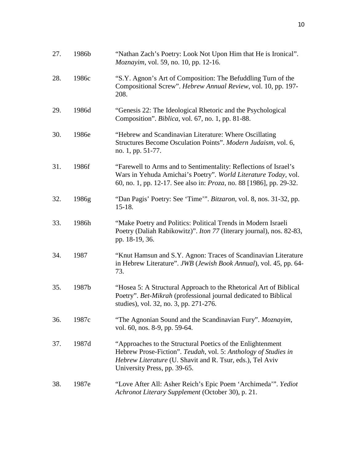| 27. | 1986b | "Nathan Zach's Poetry: Look Not Upon Him that He is Ironical".<br>Moznayim, vol. 59, no. 10, pp. 12-16.                                                                                                                   |
|-----|-------|---------------------------------------------------------------------------------------------------------------------------------------------------------------------------------------------------------------------------|
| 28. | 1986c | "S.Y. Agnon's Art of Composition: The Befuddling Turn of the<br>Compositional Screw". Hebrew Annual Review, vol. 10, pp. 197-<br>208.                                                                                     |
| 29. | 1986d | "Genesis 22: The Ideological Rhetoric and the Psychological<br>Composition". <i>Biblica</i> , vol. 67, no. 1, pp. 81-88.                                                                                                  |
| 30. | 1986e | "Hebrew and Scandinavian Literature: Where Oscillating<br>Structures Become Osculation Points". Modern Judaism, vol. 6,<br>no. 1, pp. 51-77.                                                                              |
| 31. | 1986f | "Farewell to Arms and to Sentimentality: Reflections of Israel's<br>Wars in Yehuda Amichai's Poetry". World Literature Today, vol.<br>60, no. 1, pp. 12-17. See also in: <i>Proza</i> , no. 88 [1986], pp. 29-32.         |
| 32. | 1986g | "Dan Pagis' Poetry: See 'Time'". Bitzaron, vol. 8, nos. 31-32, pp.<br>$15-18.$                                                                                                                                            |
| 33. | 1986h | "Make Poetry and Politics: Political Trends in Modern Israeli<br>Poetry (Daliah Rabikowitz)". <i>Iton 77</i> (literary journal), nos. 82-83,<br>pp. 18-19, 36.                                                            |
| 34. | 1987  | "Knut Hamsun and S.Y. Agnon: Traces of Scandinavian Literature<br>in Hebrew Literature". JWB (Jewish Book Annual), vol. 45, pp. 64-<br>73.                                                                                |
| 35. | 1987b | "Hosea 5: A Structural Approach to the Rhetorical Art of Biblical<br>Poetry". Bet-Mikrah (professional journal dedicated to Biblical<br>studies), vol. 32, no. 3, pp. 271-276.                                            |
| 36. | 1987c | "The Agnonian Sound and the Scandinavian Fury". Moznayim,<br>vol. 60, nos. 8-9, pp. 59-64.                                                                                                                                |
| 37. | 1987d | "Approaches to the Structural Poetics of the Enlightenment<br>Hebrew Prose-Fiction". Teudah, vol. 5: Anthology of Studies in<br>Hebrew Literature (U. Shavit and R. Tsur, eds.), Tel Aviv<br>University Press, pp. 39-65. |
| 38. | 1987e | "Love After All: Asher Reich's Epic Poem 'Archimeda'". Yediot<br>Achronot Literary Supplement (October 30), p. 21.                                                                                                        |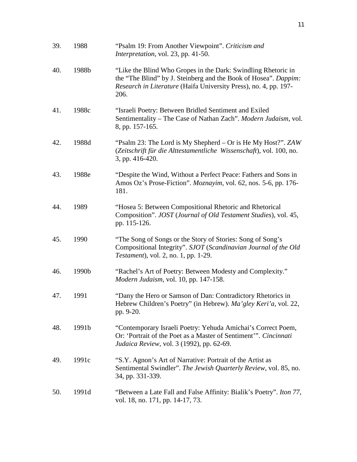| 39. | 1988  | "Psalm 19: From Another Viewpoint". Criticism and<br>Interpretation, vol. 23, pp. 41-50.                                                                                                                     |
|-----|-------|--------------------------------------------------------------------------------------------------------------------------------------------------------------------------------------------------------------|
| 40. | 1988b | "Like the Blind Who Gropes in the Dark: Swindling Rhetoric in<br>the "The Blind" by J. Steinberg and the Book of Hosea". Dappim:<br>Research in Literature (Haifa University Press), no. 4, pp. 197-<br>206. |
| 41. | 1988c | "Israeli Poetry: Between Bridled Sentiment and Exiled<br>Sentimentality – The Case of Nathan Zach". Modern Judaism, vol.<br>8, pp. 157-165.                                                                  |
| 42. | 1988d | "Psalm 23: The Lord is My Shepherd – Or is He My Host?". ZAW<br>(Zeitschrift für die Alttestamentliche Wissenschaft), vol. 100, no.<br>3, pp. 416-420.                                                       |
| 43. | 1988e | "Despite the Wind, Without a Perfect Peace: Fathers and Sons in<br>Amos Oz's Prose-Fiction". Moznayim, vol. 62, nos. 5-6, pp. 176-<br>181.                                                                   |
| 44. | 1989  | "Hosea 5: Between Compositional Rhetoric and Rhetorical<br>Composition". JOST (Journal of Old Testament Studies), vol. 45,<br>pp. 115-126.                                                                   |
| 45. | 1990  | "The Song of Songs or the Story of Stories: Song of Song's<br>Compositional Integrity". SJOT (Scandinavian Journal of the Old<br><i>Testament</i> ), vol. 2, no. 1, pp. 1-29.                                |
| 46. | 1990b | "Rachel's Art of Poetry: Between Modesty and Complexity."<br>Modern Judaism, vol. 10, pp. 147-158.                                                                                                           |
| 47. | 1991  | "Dany the Hero or Samson of Dan: Contradictory Rhetorics in<br>Hebrew Children's Poetry" (in Hebrew). Ma'gley Keri'a, vol. 22,<br>pp. 9-20.                                                                  |
| 48. | 1991b | "Contemporary Israeli Poetry: Yehuda Amichai's Correct Poem,<br>Or: 'Portrait of the Poet as a Master of Sentiment'". Cincinnati<br>Judaica Review, vol. 3 (1992), pp. 62-69.                                |
| 49. | 1991c | "S.Y. Agnon's Art of Narrative: Portrait of the Artist as<br>Sentimental Swindler". The Jewish Quarterly Review, vol. 85, no.<br>34, pp. 331-339.                                                            |
| 50. | 1991d | "Between a Late Fall and False Affinity: Bialik's Poetry". Iton 77,<br>vol. 18, no. 171, pp. 14-17, 73.                                                                                                      |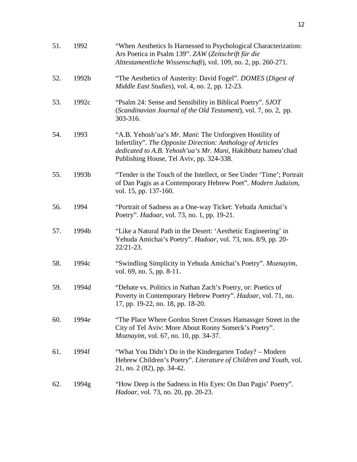| 51. | 1992  | "When Aesthetics Is Harnessed to Psychological Characterization:<br>Ars Poetica in Psalm 139". ZAW (Zeitschrift für die<br>Alttestamentliche Wissenschaft), vol. 109, no. 2, pp. 260-271.                                          |
|-----|-------|------------------------------------------------------------------------------------------------------------------------------------------------------------------------------------------------------------------------------------|
| 52. | 1992b | "The Aesthetics of Austerity: David Fogel". DOMES (Digest of<br>Middle East Studies), vol. 4, no. 2, pp. 12-23.                                                                                                                    |
| 53. | 1992c | "Psalm 24: Sense and Sensibility in Biblical Poetry". SJOT<br>(Scandinavian Journal of the Old Testament), vol. 7, no. 2, pp.<br>303-316.                                                                                          |
| 54. | 1993  | "A.B. Yehosh'ua's Mr. Mani: The Unforgiven Hostility of<br>Infertility". The Opposite Direction: Anthology of Articles<br>dedicated to A.B. Yehosh'ua's Mr. Mani, Hakibbutz hameu'chad<br>Publishing House, Tel Aviv, pp. 324-338. |
| 55. | 1993b | "Tender is the Touch of the Intellect, or See Under 'Time'; Portrait<br>of Dan Pagis as a Contemporary Hebrew Poet". Modern Judaism,<br>vol. 15, pp. 137-160.                                                                      |
| 56. | 1994  | "Portrait of Sadness as a One-way Ticket: Yehuda Amichai's<br>Poetry". <i>Hadoar</i> , vol. 73, no. 1, pp. 19-21.                                                                                                                  |
| 57. | 1994b | "Like a Natural Path in the Desert: 'Aesthetic Engineering' in<br>Yehuda Amichai's Poetry". Hadoar, vol. 73, nos. 8/9, pp. 20-<br>$22/21 - 23$ .                                                                                   |
| 58. | 1994c | "Swindling Simplicity in Yehuda Amichai's Poetry". Moznayim,<br>vol. 69, no. 5, pp. 8-11.                                                                                                                                          |
| 59. | 1994d | "Debate vs. Politics in Nathan Zach's Poetry, or: Poetics of<br>Poverty in Contemporary Hebrew Poetry". Hadoar, vol. 71, no.<br>17, pp. 19-22, no. 18, pp. 18-20.                                                                  |
| 60. | 1994e | "The Place Where Gordon Street Crosses Hamassger Street in the<br>City of Tel Aviv: More About Ronny Someck's Poetry".<br><i>Moznayim, vol.</i> 67, no. 10, pp. 34-37.                                                             |
| 61. | 1994f | "What You Didn't Do in the Kindergarten Today? – Modern<br>Hebrew Children's Poetry". Literature of Children and Youth, vol.<br>21, no. 2 (82), pp. 34-42.                                                                         |
| 62. | 1994g | "How Deep is the Sadness in His Eyes: On Dan Pagis' Poetry".<br><i>Hadoar</i> , vol. 73, no. 20, pp. 20-23.                                                                                                                        |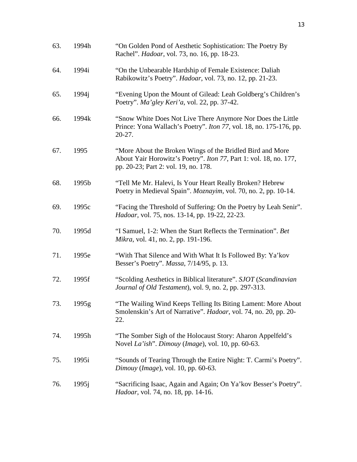| 63. | 1994h             | "On Golden Pond of Aesthetic Sophistication: The Poetry By<br>Rachel". <i>Hadoar</i> , vol. 73, no. 16, pp. 18-23.                                                     |
|-----|-------------------|------------------------------------------------------------------------------------------------------------------------------------------------------------------------|
| 64. | 1994i             | "On the Unbearable Hardship of Female Existence: Daliah<br>Rabikowitz's Poetry". Hadoar, vol. 73, no. 12, pp. 21-23.                                                   |
| 65. | 1994 <sub>1</sub> | "Evening Upon the Mount of Gilead: Leah Goldberg's Children's<br>Poetry". Ma'gley Keri'a, vol. 22, pp. 37-42.                                                          |
| 66. | 1994k             | "Snow White Does Not Live There Anymore Nor Does the Little"<br>Prince: Yona Wallach's Poetry". Iton 77, vol. 18, no. 175-176, pp.<br>$20-27.$                         |
| 67. | 1995              | "More About the Broken Wings of the Bridled Bird and More<br>About Yair Horowitz's Poetry". Iton 77, Part 1: vol. 18, no. 177,<br>pp. 20-23; Part 2: vol. 19, no. 178. |
| 68. | 1995b             | "Tell Me Mr. Halevi, Is Your Heart Really Broken? Hebrew<br>Poetry in Medieval Spain". Moznayim, vol. 70, no. 2, pp. 10-14.                                            |
| 69. | 1995c             | "Facing the Threshold of Suffering: On the Poetry by Leah Senir".<br>Hadoar, vol. 75, nos. 13-14, pp. 19-22, 22-23.                                                    |
| 70. | 1995d             | "I Samuel, 1-2: When the Start Reflects the Termination". Bet<br><i>Mikra</i> , vol. 41, no. 2, pp. 191-196.                                                           |
| 71. | 1995e             | "With That Silence and With What It Is Followed By: Ya'kov<br>Besser's Poetry". Massa, 7/14/95, p. 13.                                                                 |
| 72. | 1995f             | "Scolding Aesthetics in Biblical literature". SJOT (Scandinavian<br>Journal of Old Testament), vol. 9, no. 2, pp. 297-313.                                             |
| 73. | 1995g             | "The Wailing Wind Keeps Telling Its Biting Lament: More About<br>Smolenskin's Art of Narrative". Hadoar, vol. 74, no. 20, pp. 20-<br>22.                               |
| 74. | 1995h             | "The Somber Sigh of the Holocaust Story: Aharon Appelfeld's<br>Novel La'ish". Dimouy (Image), vol. 10, pp. 60-63.                                                      |
| 75. | 1995i             | "Sounds of Tearing Through the Entire Night: T. Carmi's Poetry".<br>Dimouy (Image), vol. 10, pp. 60-63.                                                                |
| 76. | 1995j             | "Sacrificing Isaac, Again and Again; On Ya'kov Besser's Poetry".<br><i>Hadoar</i> , vol. 74, no. 18, pp. 14-16.                                                        |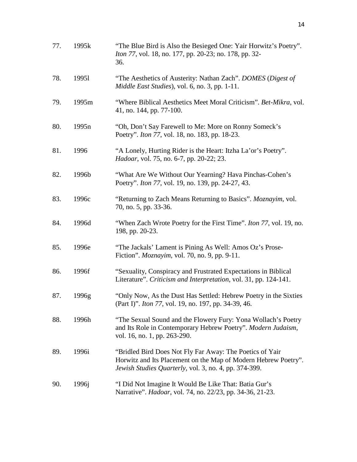| 77. | 1995k             | "The Blue Bird is Also the Besieged One: Yair Horwitz's Poetry".<br><i>Iton 77, vol.</i> 18, no. 177, pp. 20-23; no. 178, pp. 32-<br>36.                                            |
|-----|-------------------|-------------------------------------------------------------------------------------------------------------------------------------------------------------------------------------|
| 78. | 19951             | "The Aesthetics of Austerity: Nathan Zach". DOMES (Digest of<br>Middle East Studies), vol. 6, no. 3, pp. 1-11.                                                                      |
| 79. | 1995 <sub>m</sub> | "Where Biblical Aesthetics Meet Moral Criticism". Bet-Mikra, vol.<br>41, no. 144, pp. 77-100.                                                                                       |
| 80. | 1995n             | "Oh, Don't Say Farewell to Me: More on Ronny Someck's<br>Poetry". <i>Iton 77</i> , vol. 18, no. 183, pp. 18-23.                                                                     |
| 81. | 1996              | "A Lonely, Hurting Rider is the Heart: Itzha La'or's Poetry".<br><i>Hadoar</i> , vol. 75, no. 6-7, pp. 20-22; 23.                                                                   |
| 82. | 1996b             | "What Are We Without Our Yearning? Hava Pinchas-Cohen's<br>Poetry". <i>Iton 77</i> , vol. 19, no. 139, pp. 24-27, 43.                                                               |
| 83. | 1996c             | "Returning to Zach Means Returning to Basics". Moznayim, vol.<br>70, no. 5, pp. 33-36.                                                                                              |
| 84. | 1996d             | "When Zach Wrote Poetry for the First Time". <i>Iton 77</i> , vol. 19, no.<br>198, pp. 20-23.                                                                                       |
| 85. | 1996e             | "The Jackals' Lament is Pining As Well: Amos Oz's Prose-<br>Fiction". <i>Moznayim</i> , vol. 70, no. 9, pp. 9-11.                                                                   |
| 86. | 1996f             | "Sexuality, Conspiracy and Frustrated Expectations in Biblical<br>Literature". Criticism and Interpretation, vol. 31, pp. 124-141.                                                  |
| 87. | 1996g             | "Only Now, As the Dust Has Settled: Hebrew Poetry in the Sixties"<br>(Part I)". <i>Iton 77</i> , vol. 19, no. 197, pp. 34-39, 46.                                                   |
| 88. | 1996h             | "The Sexual Sound and the Flowery Fury: Yona Wollach's Poetry<br>and Its Role in Contemporary Hebrew Poetry". Modern Judaism,<br>vol. 16, no. 1, pp. 263-290.                       |
| 89. | 1996i             | "Bridled Bird Does Not Fly Far Away: The Poetics of Yair<br>Horwitz and Its Placement on the Map of Modern Hebrew Poetry".<br>Jewish Studies Quarterly, vol. 3, no. 4, pp. 374-399. |
| 90. | 1996 <sub>1</sub> | "I Did Not Imagine It Would Be Like That: Batia Gur's<br>Narrative". <i>Hadoar</i> , vol. 74, no. 22/23, pp. 34-36, 21-23.                                                          |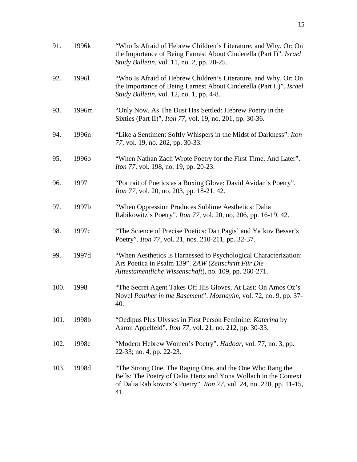| 91.  | 1996k             | "Who Is Afraid of Hebrew Children's Literature, and Why, Or: On<br>the Importance of Being Earnest About Cinderella (Part I)". Israel<br>Study Bulletin, vol. 11, no. 2, pp. 20-25.                                  |
|------|-------------------|----------------------------------------------------------------------------------------------------------------------------------------------------------------------------------------------------------------------|
| 92.  | 19961             | "Who Is Afraid of Hebrew Children's Literature, and Why, Or: On<br>the Importance of Being Earnest About Cinderella (Part II)". Israel<br><i>Study Bulletin, vol. 12, no. 1, pp. 4-8.</i>                            |
| 93.  | 1996m             | "Only Now, As The Dust Has Settled: Hebrew Poetry in the<br>Sixties (Part II)". <i>Iton 77</i> , vol. 19, no. 201, pp. 30-36.                                                                                        |
| 94.  | 1996 <sub>n</sub> | "Like a Sentiment Softly Whispers in the Midst of Darkness". Iton<br>77, vol. 19, no. 202, pp. 30-33.                                                                                                                |
| 95.  | 19960             | "When Nathan Zach Wrote Poetry for the First Time. And Later".<br><i>Iton 77, vol.</i> 198, no. 19, pp. 20-23.                                                                                                       |
| 96.  | 1997              | "Portrait of Poetics as a Boxing Glove: David Avidan's Poetry".<br><i>Iton 77, vol. 20, no. 203, pp. 18-21, 42.</i>                                                                                                  |
| 97.  | 1997b             | "When Oppression Produces Sublime Aesthetics: Dalia<br>Rabikowitz's Poetry". <i>Iton 77</i> , vol. 20, no, 206, pp. 16-19, 42.                                                                                       |
| 98.  | 1997c             | "The Science of Precise Poetics: Dan Pagis' and Ya'kov Besser's<br>Poetry". <i>Iton 77</i> , vol. 21, nos. 210-211, pp. 32-37.                                                                                       |
| 99.  | 1997d             | "When Aesthetics Is Harnessed to Psychological Characterization:<br>Ars Poetica in Psalm 139". ZAW (Zeitschrift Für Die<br>Alttestamentliche Wissenschaft), no. 109, pp. 260-271.                                    |
| 100. | 1998              | "The Secret Agent Takes Off His Gloves, At Last: On Amos Oz's<br>Novel Panther in the Basement". Moznayim, vol. 72, no. 9, pp. 37-<br>40.                                                                            |
| 101. | 1998b             | "Oedipus Plus Ulysses in First Person Feminine: Katerina by<br>Aaron Appelfeld". Iton 77, vol. 21, no. 212, pp. 30-33.                                                                                               |
| 102. | 1998c             | "Modern Hebrew Women's Poetry". <i>Hadoar</i> , vol. 77, no. 3, pp.<br>22-33; no. 4, pp. 22-23.                                                                                                                      |
| 103. | 1998d             | "The Strong One, The Raging One, and the One Who Rang the<br>Bells: The Poetry of Dalia Hertz and Yona Wollach in the Context<br>of Dalia Rabikowitz's Poetry". <i>Iton 77</i> , vol. 24, no. 220, pp. 11-15,<br>41. |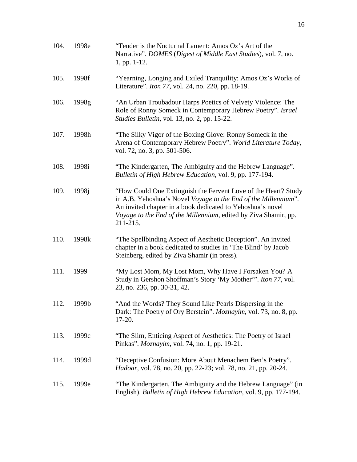| 104. | 1998e | "Tender is the Nocturnal Lament: Amos Oz's Art of the<br>Narrative". DOMES (Digest of Middle East Studies), vol. 7, no.<br>1, pp. 1-12.                                                                                                                                       |
|------|-------|-------------------------------------------------------------------------------------------------------------------------------------------------------------------------------------------------------------------------------------------------------------------------------|
| 105. | 1998f | "Yearning, Longing and Exiled Tranquility: Amos Oz's Works of<br>Literature". <i>Iton 77</i> , vol. 24, no. 220, pp. 18-19.                                                                                                                                                   |
| 106. | 1998g | "An Urban Troubadour Harps Poetics of Velvety Violence: The<br>Role of Ronny Someck in Contemporary Hebrew Poetry". Israel<br>Studies Bulletin, vol. 13, no. 2, pp. 15-22.                                                                                                    |
| 107. | 1998h | "The Silky Vigor of the Boxing Glove: Ronny Someck in the<br>Arena of Contemporary Hebrew Poetry". World Literature Today,<br>vol. 72, no. 3, pp. 501-506.                                                                                                                    |
| 108. | 1998i | "The Kindergarten, The Ambiguity and the Hebrew Language".<br>Bulletin of High Hebrew Education, vol. 9, pp. 177-194.                                                                                                                                                         |
| 109. | 1998j | "How Could One Extinguish the Fervent Love of the Heart? Study<br>in A.B. Yehoshua's Novel Voyage to the End of the Millennium".<br>An invited chapter in a book dedicated to Yehoshua's novel<br>Voyage to the End of the Millennium, edited by Ziva Shamir, pp.<br>211-215. |
| 110. | 1998k | "The Spellbinding Aspect of Aesthetic Deception". An invited<br>chapter in a book dedicated to studies in 'The Blind' by Jacob<br>Steinberg, edited by Ziva Shamir (in press).                                                                                                |
| 111. | 1999  | "My Lost Mom, My Lost Mom, Why Have I Forsaken You? A<br>Study in Gershon Shoffman's Story 'My Mother'". Iton 77, vol.<br>23, no. 236, pp. 30-31, 42.                                                                                                                         |
| 112. | 1999b | "And the Words? They Sound Like Pearls Dispersing in the<br>Dark: The Poetry of Ory Berstein". <i>Moznayim</i> , vol. 73, no. 8, pp.<br>$17-20.$                                                                                                                              |
| 113. | 1999c | "The Slim, Enticing Aspect of Aesthetics: The Poetry of Israel<br>Pinkas". Moznayim, vol. 74, no. 1, pp. 19-21.                                                                                                                                                               |
| 114. | 1999d | "Deceptive Confusion: More About Menachem Ben's Poetry".<br>Hadoar, vol. 78, no. 20, pp. 22-23; vol. 78, no. 21, pp. 20-24.                                                                                                                                                   |
| 115. | 1999e | "The Kindergarten, The Ambiguity and the Hebrew Language" (in<br>English). Bulletin of High Hebrew Education, vol. 9, pp. 177-194.                                                                                                                                            |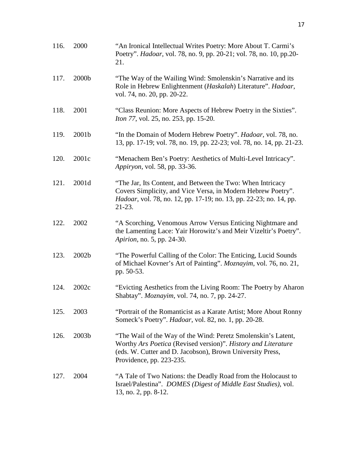| 116. | 2000              | "An Ironical Intellectual Writes Poetry: More About T. Carmi's<br>Poetry". Hadoar, vol. 78, no. 9, pp. 20-21; vol. 78, no. 10, pp. 20-<br>21.                                                                           |
|------|-------------------|-------------------------------------------------------------------------------------------------------------------------------------------------------------------------------------------------------------------------|
| 117. | 2000b             | "The Way of the Wailing Wind: Smolenskin's Narrative and its<br>Role in Hebrew Enlightenment (Haskalah) Literature". Hadoar,<br>vol. 74, no. 20, pp. 20-22.                                                             |
| 118. | 2001              | "Class Reunion: More Aspects of Hebrew Poetry in the Sixties".<br><i>Iton 77, vol. 25, no. 253, pp. 15-20.</i>                                                                                                          |
| 119. | 2001b             | "In the Domain of Modern Hebrew Poetry". <i>Hadoar</i> , vol. 78, no.<br>13, pp. 17-19; vol. 78, no. 19, pp. 22-23; vol. 78, no. 14, pp. 21-23.                                                                         |
| 120. | 2001c             | "Menachem Ben's Poetry: Aesthetics of Multi-Level Intricacy".<br>Appiryon, vol. 58, pp. 33-36.                                                                                                                          |
| 121. | 2001d             | "The Jar, Its Content, and Between the Two: When Intricacy<br>Covers Simplicity, and Vice Versa, in Modern Hebrew Poetry".<br><i>Hadoar</i> , vol. 78, no. 12, pp. 17-19; no. 13, pp. 22-23; no. 14, pp.<br>$21-23.$    |
| 122. | 2002              | "A Scorching, Venomous Arrow Versus Enticing Nightmare and<br>the Lamenting Lace: Yair Horowitz's and Meir Vizeltir's Poetry".<br><i>Apirion</i> , no. 5, pp. 24-30.                                                    |
| 123. | 2002 <sub>b</sub> | "The Powerful Calling of the Color: The Enticing, Lucid Sounds<br>of Michael Kovner's Art of Painting". Moznayim, vol. 76, no. 21,<br>pp. 50-53.                                                                        |
| 124. | 2002c             | "Evicting Aesthetics from the Living Room: The Poetry by Aharon"<br>Shabtay". Moznayim, vol. 74, no. 7, pp. 24-27.                                                                                                      |
| 125. | 2003              | "Portrait of the Romanticist as a Karate Artist; More About Ronny<br>Someck's Poetry". <i>Hadoar</i> , vol. 82, no. 1, pp. 20-28.                                                                                       |
| 126. | 2003b             | "The Wail of the Way of the Wind: Peretz Smolenskin's Latent,<br>Worthy Ars Poetica (Revised version)". History and Literature<br>(eds. W. Cutter and D. Jacobson), Brown University Press,<br>Providence, pp. 223-235. |
| 127. | 2004              | "A Tale of Two Nations: the Deadly Road from the Holocaust to<br>Israel/Palestina". DOMES (Digest of Middle East Studies), vol.<br>13, no. 2, pp. 8-12.                                                                 |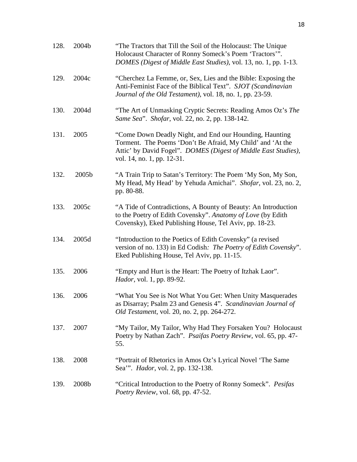| 128. | 2004b | "The Tractors that Till the Soil of the Holocaust: The Unique<br>Holocaust Character of Ronny Someck's Poem 'Tractors'".<br>DOMES (Digest of Middle East Studies), vol. 13, no. 1, pp. 1-13.                          |
|------|-------|-----------------------------------------------------------------------------------------------------------------------------------------------------------------------------------------------------------------------|
| 129. | 2004c | "Cherchez La Femme, or, Sex, Lies and the Bible: Exposing the<br>Anti-Feminist Face of the Biblical Text". SJOT (Scandinavian<br>Journal of the Old Testament), vol. 18, no. 1, pp. 23-59.                            |
| 130. | 2004d | "The Art of Unmasking Cryptic Secrets: Reading Amos Oz's The<br>Same Sea". Shofar, vol. 22, no. 2, pp. 138-142.                                                                                                       |
| 131. | 2005  | "Come Down Deadly Night, and End our Hounding, Haunting<br>Torment. The Poems 'Don't Be Afraid, My Child' and 'At the<br>Attic' by David Fogel". DOMES (Digest of Middle East Studies),<br>vol. 14, no. 1, pp. 12-31. |
| 132. | 2005b | "A Train Trip to Satan's Territory: The Poem 'My Son, My Son,<br>My Head, My Head' by Yehuda Amichai". Shofar, vol. 23, no. 2,<br>pp. 80-88.                                                                          |
| 133. | 2005c | "A Tide of Contradictions, A Bounty of Beauty: An Introduction<br>to the Poetry of Edith Covensky". Anatomy of Love (by Edith<br>Covensky), Eked Publishing House, Tel Aviv, pp. 18-23.                               |
| 134. | 2005d | "Introduction to the Poetics of Edith Covensky" (a revised<br>version of no. 133) in Ed Codish: The Poetry of Edith Covensky".<br>Eked Publishing House, Tel Aviv, pp. 11-15.                                         |
| 135. | 2006  | "Empty and Hurt is the Heart: The Poetry of Itzhak Laor".<br><i>Hador</i> , vol. 1, pp. 89-92.                                                                                                                        |
| 136. | 2006  | "What You See is Not What You Get: When Unity Masquerades<br>as Disarray; Psalm 23 and Genesis 4". Scandinavian Journal of<br><i>Old Testament, vol. 20, no. 2, pp. 264-272.</i>                                      |
| 137. | 2007  | "My Tailor, My Tailor, Why Had They Forsaken You? Holocaust<br>Poetry by Nathan Zach". Psaifas Poetry Review, vol. 65, pp. 47-<br>55.                                                                                 |
| 138. | 2008  | "Portrait of Rhetorics in Amos Oz's Lyrical Novel 'The Same<br>Sea"". Hador, vol. 2, pp. 132-138.                                                                                                                     |
| 139. | 2008b | "Critical Introduction to the Poetry of Ronny Someck". Pesifas<br>Poetry Review, vol. 68, pp. 47-52.                                                                                                                  |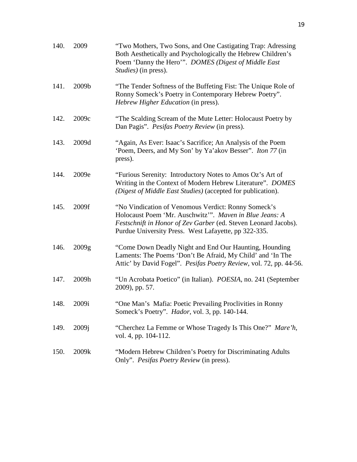| 140. | 2009  | "Two Mothers, Two Sons, and One Castigating Trap: Adressing<br>Both Aesthetically and Psychologically the Hebrew Children's<br>Poem 'Danny the Hero'". DOMES (Digest of Middle East<br><i>Studies</i> ) (in press).                       |
|------|-------|-------------------------------------------------------------------------------------------------------------------------------------------------------------------------------------------------------------------------------------------|
| 141. | 2009b | "The Tender Softness of the Buffeting Fist: The Unique Role of<br>Ronny Someck's Poetry in Contemporary Hebrew Poetry".<br>Hebrew Higher Education (in press).                                                                            |
| 142. | 2009c | "The Scalding Scream of the Mute Letter: Holocaust Poetry by<br>Dan Pagis". Pesifas Poetry Review (in press).                                                                                                                             |
| 143. | 2009d | "Again, As Ever: Isaac's Sacrifice; An Analysis of the Poem<br>'Poem, Deers, and My Son' by Ya'akov Besser". Iton 77 (in<br>press).                                                                                                       |
| 144. | 2009e | "Furious Serenity: Introductory Notes to Amos Oz's Art of<br>Writing in the Context of Modern Hebrew Literature". DOMES<br>(Digest of Middle East Studies) (accepted for publication).                                                    |
| 145. | 2009f | "No Vindication of Venomous Verdict: Ronny Someck's<br>Holocaust Poem 'Mr. Auschwitz'". Maven in Blue Jeans: A<br>Festschnift in Honor of Zev Garber (ed. Steven Leonard Jacobs).<br>Purdue University Press. West Lafayette, pp 322-335. |
| 146. | 2009g | "Come Down Deadly Night and End Our Haunting, Hounding<br>Laments: The Poems 'Don't Be Afraid, My Child' and 'In The<br>Attic' by David Fogel". Pesifas Poetry Review, vol. 72, pp. 44-56.                                                |
| 147. | 2009h | "Un Acrobata Poetico" (in Italian). <i>POESIA</i> , no. 241 (September<br>2009), pp. 57.                                                                                                                                                  |
| 148. | 2009i | "One Man's Mafia: Poetic Prevailing Proclivities in Ronny<br>Someck's Poetry". Hador, vol. 3, pp. 140-144.                                                                                                                                |
| 149. | 2009j | "Cherchez La Femme or Whose Tragedy Is This One?" Mare'h,<br>vol. 4, pp. 104-112.                                                                                                                                                         |
| 150. | 2009k | "Modern Hebrew Children's Poetry for Discriminating Adults<br>Only". Pesifas Poetry Review (in press).                                                                                                                                    |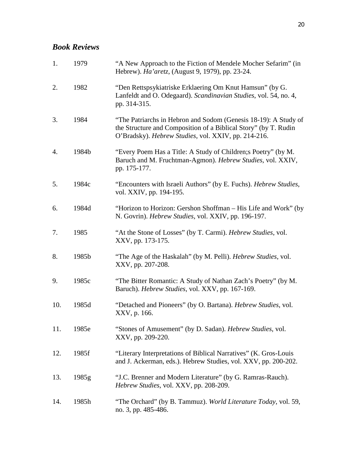## *Book Reviews*

| 1.  | 1979  | "A New Approach to the Fiction of Mendele Mocher Sefarim" (in<br>Hebrew). Ha'aretz, (August 9, 1979), pp. 23-24.                                                                          |
|-----|-------|-------------------------------------------------------------------------------------------------------------------------------------------------------------------------------------------|
| 2.  | 1982  | "Den Rettspsykiatriske Erklaering Om Knut Hamsun" (by G.<br>Lanfeldt and O. Odegaard). Scandinavian Studies, vol. 54, no. 4,<br>pp. 314-315.                                              |
| 3.  | 1984  | "The Patriarchs in Hebron and Sodom (Genesis 18-19): A Study of<br>the Structure and Composition of a Biblical Story" (by T. Rudin<br>O'Bradsky). Hebrew Studies, vol. XXIV, pp. 214-216. |
| 4.  | 1984b | "Every Poem Has a Title: A Study of Children; a Poetry" (by M.<br>Baruch and M. Fruchtman-Agmon). Hebrew Studies, vol. XXIV,<br>pp. 175-177.                                              |
| 5.  | 1984c | "Encounters with Israeli Authors" (by E. Fuchs). Hebrew Studies,<br>vol. XXIV, pp. 194-195.                                                                                               |
| 6.  | 1984d | "Horizon to Horizon: Gershon Shoffman – His Life and Work" (by<br>N. Govrin). Hebrew Studies, vol. XXIV, pp. 196-197.                                                                     |
| 7.  | 1985  | "At the Stone of Losses" (by T. Carmi). Hebrew Studies, vol.<br>XXV, pp. 173-175.                                                                                                         |
| 8.  | 1985b | "The Age of the Haskalah" (by M. Pelli). Hebrew Studies, vol.<br>XXV, pp. 207-208.                                                                                                        |
| 9.  | 1985c | "The Bitter Romantic: A Study of Nathan Zach's Poetry" (by M.<br>Baruch). Hebrew Studies, vol. XXV, pp. 167-169.                                                                          |
| 10. | 1985d | "Detached and Pioneers" (by O. Bartana). Hebrew Studies, vol.<br>XXV, p. 166.                                                                                                             |
| 11. | 1985e | "Stones of Amusement" (by D. Sadan). Hebrew Studies, vol.<br>XXV, pp. 209-220.                                                                                                            |
| 12. | 1985f | "Literary Interpretations of Biblical Narratives" (K. Gros-Louis<br>and J. Ackerman, eds.). Hebrew Studies, vol. XXV, pp. 200-202.                                                        |
| 13. | 1985g | "J.C. Brenner and Modern Literature" (by G. Ramras-Rauch).<br>Hebrew Studies, vol. XXV, pp. 208-209.                                                                                      |
| 14. | 1985h | "The Orchard" (by B. Tammuz). World Literature Today, vol. 59,<br>no. 3, pp. 485-486.                                                                                                     |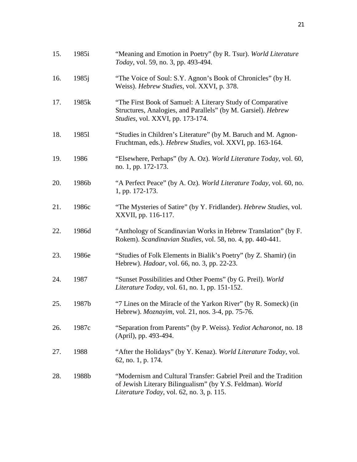| 15. | 1985i    | "Meaning and Emotion in Poetry" (by R. Tsur). World Literature<br>Today, vol. 59, no. 3, pp. 493-494.                                                                       |
|-----|----------|-----------------------------------------------------------------------------------------------------------------------------------------------------------------------------|
| 16. | $1985$ j | "The Voice of Soul: S.Y. Agnon's Book of Chronicles" (by H.<br>Weiss). Hebrew Studies, vol. XXVI, p. 378.                                                                   |
| 17. | 1985k    | "The First Book of Samuel: A Literary Study of Comparative<br>Structures, Analogies, and Parallels" (by M. Garsiel). Hebrew<br>Studies, vol. XXVI, pp. 173-174.             |
| 18. | 19851    | "Studies in Children's Literature" (by M. Baruch and M. Agnon-<br>Fruchtman, eds.). Hebrew Studies, vol. XXVI, pp. 163-164.                                                 |
| 19. | 1986     | "Elsewhere, Perhaps" (by A. Oz). World Literature Today, vol. 60,<br>no. 1, pp. 172-173.                                                                                    |
| 20. | 1986b    | "A Perfect Peace" (by A. Oz). World Literature Today, vol. 60, no.<br>1, pp. 172-173.                                                                                       |
| 21. | 1986c    | "The Mysteries of Satire" (by Y. Fridlander). Hebrew Studies, vol.<br>XXVII, pp. 116-117.                                                                                   |
| 22. | 1986d    | "Anthology of Scandinavian Works in Hebrew Translation" (by F.<br>Rokem). Scandinavian Studies, vol. 58, no. 4, pp. 440-441.                                                |
| 23. | 1986e    | "Studies of Folk Elements in Bialik's Poetry" (by Z. Shamir) (in<br>Hebrew). <i>Hadoar</i> , vol. 66, no. 3, pp. 22-23.                                                     |
| 24. | 1987     | "Sunset Possibilities and Other Poems" (by G. Preil). World<br>Literature Today, vol. 61, no. 1, pp. 151-152.                                                               |
| 25. | 1987b    | "7 Lines on the Miracle of the Yarkon River" (by R. Someck) (in<br>Hebrew). Moznayim, vol. 21, nos. 3-4, pp. 75-76.                                                         |
| 26. | 1987c    | "Separation from Parents" (by P. Weiss). Yediot Acharonot, no. 18<br>(April), pp. 493-494.                                                                                  |
| 27. | 1988     | "After the Holidays" (by Y. Kenaz). World Literature Today, vol.<br>62, no. 1, p. 174.                                                                                      |
| 28. | 1988b    | "Modernism and Cultural Transfer: Gabriel Preil and the Tradition<br>of Jewish Literary Bilingualism" (by Y.S. Feldman). World<br>Literature Today, vol. 62, no. 3, p. 115. |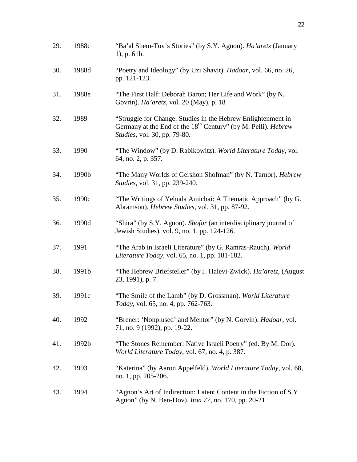| 29. | 1988c | "Ba'al Shem-Tov's Stories" (by S.Y. Agnon). Ha'aretz (January<br>$1)$ , p. 61b.                                                                                                  |
|-----|-------|----------------------------------------------------------------------------------------------------------------------------------------------------------------------------------|
| 30. | 1988d | "Poetry and Ideology" (by Uzi Shavit). Hadoar, vol. 66, no. 26,<br>pp. 121-123.                                                                                                  |
| 31. | 1988e | "The First Half: Deborah Baron; Her Life and Work" (by N.<br>Govrin). Ha'aretz, vol. 20 (May), p. 18                                                                             |
| 32. | 1989  | "Struggle for Change: Studies in the Hebrew Enlightenment in<br>Germany at the End of the 18 <sup>th</sup> Century" (by M. Pelli). <i>Hebrew</i><br>Studies, vol. 30, pp. 79-80. |
| 33. | 1990  | "The Window" (by D. Rabikowitz). World Literature Today, vol.<br>64, no. 2, p. 357.                                                                                              |
| 34. | 1990b | "The Many Worlds of Gershon Shofman" (by N. Tarnor). Hebrew<br>Studies, vol. 31, pp. 239-240.                                                                                    |
| 35. | 1990c | "The Writings of Yehuda Amichai: A Thematic Approach" (by G.<br>Abramson). Hebrew Studies, vol. 31, pp. 87-92.                                                                   |
| 36. | 1990d | "Shira" (by S.Y. Agnon). Shofar (an interdisciplinary journal of<br>Jewish Studies), vol. 9, no. 1, pp. 124-126.                                                                 |
| 37. | 1991  | "The Arab in Israeli Literature" (by G. Ramras-Rauch). World<br>Literature Today, vol. 65, no. 1, pp. 181-182.                                                                   |
| 38. | 1991b | "The Hebrew Briefsteller" (by J. Halevi-Zwick). Ha'aretz, (August)<br>23, 1991), p. 7.                                                                                           |
| 39. | 1991c | "The Smile of the Lamb" (by D. Grossman). World Literature<br>Today, vol. 65, no. 4, pp. 762-763.                                                                                |
| 40. | 1992  | "Brener: 'Nonplused' and Mentor" (by N. Gorvin). <i>Hadoar</i> , vol.<br>71, no. 9 (1992), pp. 19-22.                                                                            |
| 41. | 1992b | "The Stones Remember: Native Israeli Poetry" (ed. By M. Dor).<br>World Literature Today, vol. 67, no. 4, p. 387.                                                                 |
| 42. | 1993  | "Katerina" (by Aaron Appelfeld). World Literature Today, vol. 68,<br>no. 1, pp. 205-206.                                                                                         |
| 43. | 1994  | "Agnon's Art of Indirection: Latent Content in the Fiction of S.Y.<br>Agnon" (by N. Ben-Dov). <i>Iton 77</i> , no. 170, pp. 20-21.                                               |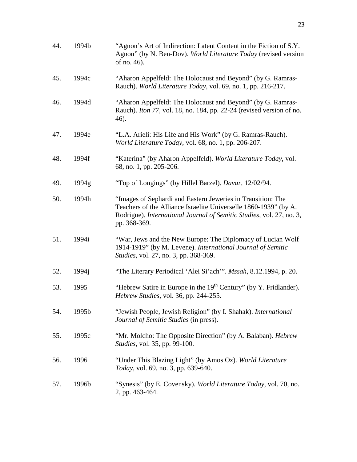| 44. | 1994b | "Agnon's Art of Indirection: Latent Content in the Fiction of S.Y.<br>Agnon" (by N. Ben-Dov). World Literature Today (revised version<br>of no. 46).                                                                    |
|-----|-------|-------------------------------------------------------------------------------------------------------------------------------------------------------------------------------------------------------------------------|
| 45. | 1994c | "Aharon Appelfeld: The Holocaust and Beyond" (by G. Ramras-<br>Rauch). World Literature Today, vol. 69, no. 1, pp. 216-217.                                                                                             |
| 46. | 1994d | "Aharon Appelfeld: The Holocaust and Beyond" (by G. Ramras-<br>Rauch). <i>Iton 77</i> , vol. 18, no. 184, pp. 22-24 (revised version of no.<br>46).                                                                     |
| 47. | 1994e | "L.A. Arieli: His Life and His Work" (by G. Ramras-Rauch).<br>World Literature Today, vol. 68, no. 1, pp. 206-207.                                                                                                      |
| 48. | 1994f | "Katerina" (by Aharon Appelfeld). World Literature Today, vol.<br>68, no. 1, pp. 205-206.                                                                                                                               |
| 49. | 1994g | "Top of Longings" (by Hillel Barzel). Davar, 12/02/94.                                                                                                                                                                  |
| 50. | 1994h | "Images of Sephardi and Eastern Jeweries in Transition: The<br>Teachers of the Alliance Israelite Universelle 1860-1939" (by A.<br>Rodrigue). International Journal of Semitic Studies, vol. 27, no. 3,<br>pp. 368-369. |
| 51. | 1994i | "War, Jews and the New Europe: The Diplomacy of Lucian Wolf<br>1914-1919" (by M. Levene). International Journal of Semitic<br><i>Studies, vol. 27, no. 3, pp. 368-369.</i>                                              |
| 52. | 1994j | "The Literary Periodical 'Alei Si'ach'". Mssah, 8.12.1994, p. 20.                                                                                                                                                       |
| 53. | 1995  | "Hebrew Satire in Europe in the 19 <sup>th</sup> Century" (by Y. Fridlander).<br>Hebrew Studies, vol. 36, pp. 244-255.                                                                                                  |
| 54. | 1995b | "Jewish People, Jewish Religion" (by I. Shahak). International<br>Journal of Semitic Studies (in press).                                                                                                                |
| 55. | 1995c | "Mr. Molcho: The Opposite Direction" (by A. Balaban). Hebrew<br><i>Studies</i> , vol. 35, pp. 99-100.                                                                                                                   |
| 56. | 1996  | "Under This Blazing Light" (by Amos Oz). World Literature<br>Today, vol. 69, no. 3, pp. 639-640.                                                                                                                        |
| 57. | 1996b | "Synesis" (by E. Covensky). World Literature Today, vol. 70, no.<br>2, pp. 463-464.                                                                                                                                     |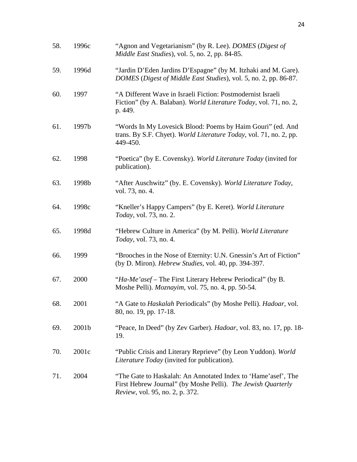| 58. | 1996c | "Agnon and Vegetarianism" (by R. Lee). DOMES (Digest of<br>Middle East Studies), vol. 5, no. 2, pp. 84-85.                                                       |
|-----|-------|------------------------------------------------------------------------------------------------------------------------------------------------------------------|
| 59. | 1996d | "Jardin D'Eden Jardins D'Espagne" (by M. Itzhaki and M. Gare).<br>DOMES (Digest of Middle East Studies), vol. 5, no. 2, pp. 86-87.                               |
| 60. | 1997  | "A Different Wave in Israeli Fiction: Postmodernist Israeli<br>Fiction" (by A. Balaban). World Literature Today, vol. 71, no. 2,<br>p. 449.                      |
| 61. | 1997b | "Words In My Lovesick Blood: Poems by Haim Gouri" (ed. And<br>trans. By S.F. Chyet). World Literature Today, vol. 71, no. 2, pp.<br>449-450.                     |
| 62. | 1998  | "Poetica" (by E. Covensky). World Literature Today (invited for<br>publication).                                                                                 |
| 63. | 1998b | "After Auschwitz" (by. E. Covensky). World Literature Today,<br>vol. 73, no. 4.                                                                                  |
| 64. | 1998c | "Kneller's Happy Campers" (by E. Keret). World Literature<br><i>Today</i> , vol. 73, no. 2.                                                                      |
| 65. | 1998d | "Hebrew Culture in America" (by M. Pelli). World Literature<br>Today, vol. 73, no. 4.                                                                            |
| 66. | 1999  | "Brooches in the Nose of Eternity: U.N. Gnessin's Art of Fiction"<br>(by D. Miron). Hebrew Studies, vol. 40, pp. 394-397.                                        |
| 67. | 2000  | "Ha-Me'asef – The First Literary Hebrew Periodical" (by B.<br>Moshe Pelli). Moznayim, vol. 75, no. 4, pp. 50-54.                                                 |
| 68. | 2001  | "A Gate to Haskalah Periodicals" (by Moshe Pelli). Hadoar, vol.<br>80, no. 19, pp. 17-18.                                                                        |
| 69. | 2001b | "Peace, In Deed" (by Zev Garber). Hadoar, vol. 83, no. 17, pp. 18-<br>19.                                                                                        |
| 70. | 2001c | "Public Crisis and Literary Reprieve" (by Leon Yuddon). World<br><i>Literature Today</i> (invited for publication).                                              |
| 71. | 2004  | "The Gate to Haskalah: An Annotated Index to 'Hame'asef', The<br>First Hebrew Journal" (by Moshe Pelli). The Jewish Quarterly<br>Review, vol. 95, no. 2, p. 372. |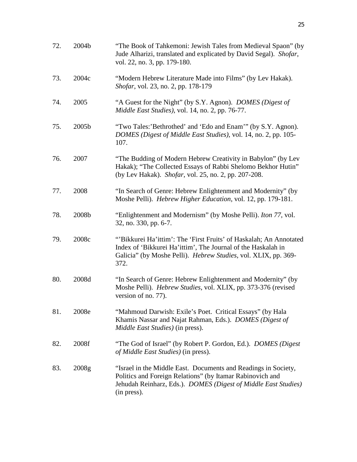| 72. | 2004b | "The Book of Tahkemoni: Jewish Tales from Medieval Spaon" (by<br>Jude Alharizi, translated and explicated by David Segal). Shofar,<br>vol. 22, no. 3, pp. 179-180.                                           |
|-----|-------|--------------------------------------------------------------------------------------------------------------------------------------------------------------------------------------------------------------|
| 73. | 2004c | "Modern Hebrew Literature Made into Films" (by Lev Hakak).<br>Shofar, vol. 23, no. 2, pp. 178-179                                                                                                            |
| 74. | 2005  | "A Guest for the Night" (by S.Y. Agnon). <i>DOMES</i> (Digest of<br>Middle East Studies), vol. 14, no. 2, pp. 76-77.                                                                                         |
| 75. | 2005b | "Two Tales:'Bethrothed' and 'Edo and Enam'" (by S.Y. Agnon).<br>DOMES (Digest of Middle East Studies), vol. 14, no. 2, pp. 105-<br>107.                                                                      |
| 76. | 2007  | "The Budding of Modern Hebrew Creativity in Babylon" (by Lev<br>Hakak); "The Collected Essays of Rabbi Shelomo Bekhor Hutin"<br>(by Lev Hakak). Shofar, vol. 25, no. 2, pp. 207-208.                         |
| 77. | 2008  | "In Search of Genre: Hebrew Enlightenment and Modernity" (by<br>Moshe Pelli). Hebrew Higher Education, vol. 12, pp. 179-181.                                                                                 |
| 78. | 2008b | "Enlightenment and Modernism" (by Moshe Pelli). <i>Iton 77</i> , vol.<br>32, no. 330, pp. 6-7.                                                                                                               |
| 79. | 2008c | "Bikkurei Ha'ittim': The 'First Fruits' of Haskalah; An Annotated<br>Index of 'Bikkurei Ha'ittim', The Journal of the Haskalah in<br>Galicia" (by Moshe Pelli). Hebrew Studies, vol. XLIX, pp. 369-<br>372.  |
| 80. | 2008d | "In Search of Genre: Hebrew Enlightenment and Modernity" (by<br>Moshe Pelli). Hebrew Studies, vol. XLIX, pp. 373-376 (revised<br>version of no. 77).                                                         |
| 81. | 2008e | "Mahmoud Darwish: Exile's Poet. Critical Essays" (by Hala<br>Khamis Nassar and Najat Rahman, Eds.). <i>DOMES (Digest of</i><br>Middle East Studies) (in press).                                              |
| 82. | 2008f | "The God of Israel" (by Robert P. Gordon, Ed.). <i>DOMES</i> (Digest)<br>of Middle East Studies) (in press).                                                                                                 |
| 83. | 2008g | "Israel in the Middle East. Documents and Readings in Society,<br>Politics and Foreign Relations" (by Itamar Rabinovich and<br>Jehudah Reinharz, Eds.). DOMES (Digest of Middle East Studies)<br>(in press). |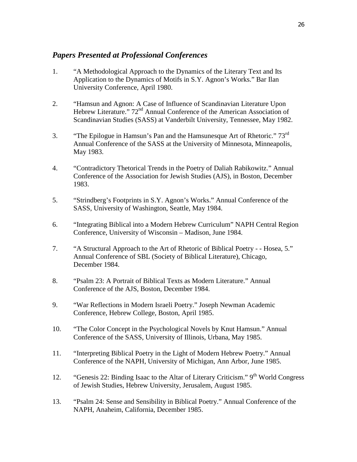#### *Papers Presented at Professional Conferences*

- 1. "A Methodological Approach to the Dynamics of the Literary Text and Its Application to the Dynamics of Motifs in S.Y. Agnon's Works." Bar Ilan University Conference, April 1980.
- 2. "Hamsun and Agnon: A Case of Influence of Scandinavian Literature Upon Hebrew Literature." 72<sup>nd</sup> Annual Conference of the American Association of Scandinavian Studies (SASS) at Vanderbilt University, Tennessee, May 1982.
- 3. "The Epilogue in Hamsun's Pan and the Hamsunesque Art of Rhetoric." 73<sup>rd</sup> Annual Conference of the SASS at the University of Minnesota, Minneapolis, May 1983.
- 4. "Contradictory Thetorical Trends in the Poetry of Daliah Rabikowitz." Annual Conference of the Association for Jewish Studies (AJS), in Boston, December 1983.
- 5. "Strindberg's Footprints in S.Y. Agnon's Works." Annual Conference of the SASS, University of Washington, Seattle, May 1984.
- 6. "Integrating Biblical into a Modern Hebrew Curriculum" NAPH Central Region Conference, University of Wisconsin – Madison, June 1984.
- 7. "A Structural Approach to the Art of Rhetoric of Biblical Poetry - Hosea, 5." Annual Conference of SBL (Society of Biblical Literature), Chicago, December 1984.
- 8. "Psalm 23: A Portrait of Biblical Texts as Modern Literature." Annual Conference of the AJS, Boston, December 1984.
- 9. "War Reflections in Modern Israeli Poetry." Joseph Newman Academic Conference, Hebrew College, Boston, April 1985.
- 10. "The Color Concept in the Psychological Novels by Knut Hamsun." Annual Conference of the SASS, University of Illinois, Urbana, May 1985.
- 11. "Interpreting Biblical Poetry in the Light of Modern Hebrew Poetry." Annual Conference of the NAPH, University of Michigan, Ann Arbor, June 1985.
- 12. "Genesis 22: Binding Isaac to the Altar of Literary Criticism."  $9<sup>th</sup>$  World Congress of Jewish Studies, Hebrew University, Jerusalem, August 1985.
- 13. "Psalm 24: Sense and Sensibility in Biblical Poetry." Annual Conference of the NAPH, Anaheim, California, December 1985.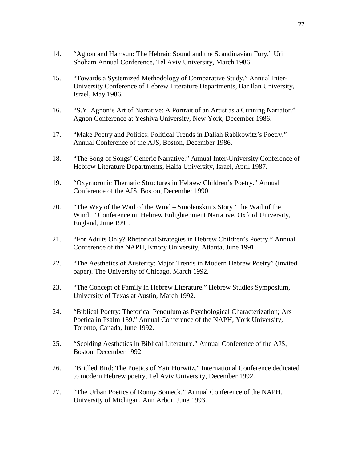- 14. "Agnon and Hamsun: The Hebraic Sound and the Scandinavian Fury." Uri Shoham Annual Conference, Tel Aviv University, March 1986.
- 15. "Towards a Systemized Methodology of Comparative Study." Annual Inter-University Conference of Hebrew Literature Departments, Bar Ilan University, Israel, May 1986.
- 16. "S.Y. Agnon's Art of Narrative: A Portrait of an Artist as a Cunning Narrator." Agnon Conference at Yeshiva University, New York, December 1986.
- 17. "Make Poetry and Politics: Political Trends in Daliah Rabikowitz's Poetry." Annual Conference of the AJS, Boston, December 1986.
- 18. "The Song of Songs' Generic Narrative." Annual Inter-University Conference of Hebrew Literature Departments, Haifa University, Israel, April 1987.
- 19. "Oxymoronic Thematic Structures in Hebrew Children's Poetry." Annual Conference of the AJS, Boston, December 1990.
- 20. "The Way of the Wail of the Wind Smolenskin's Story 'The Wail of the Wind.'" Conference on Hebrew Enlightenment Narrative, Oxford University, England, June 1991.
- 21. "For Adults Only? Rhetorical Strategies in Hebrew Children's Poetry." Annual Conference of the NAPH, Emory University, Atlanta, June 1991.
- 22. "The Aesthetics of Austerity: Major Trends in Modern Hebrew Poetry" (invited paper). The University of Chicago, March 1992.
- 23. "The Concept of Family in Hebrew Literature." Hebrew Studies Symposium, University of Texas at Austin, March 1992.
- 24. "Biblical Poetry: Thetorical Pendulum as Psychological Characterization; Ars Poetica in Psalm 139." Annual Conference of the NAPH, York University, Toronto, Canada, June 1992.
- 25. "Scolding Aesthetics in Biblical Literature." Annual Conference of the AJS, Boston, December 1992.
- 26. "Bridled Bird: The Poetics of Yair Horwitz." International Conference dedicated to modern Hebrew poetry, Tel Aviv University, December 1992.
- 27. "The Urban Poetics of Ronny Someck." Annual Conference of the NAPH, University of Michigan, Ann Arbor, June 1993.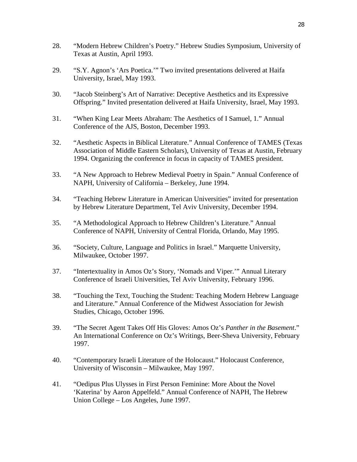- 28. "Modern Hebrew Children's Poetry." Hebrew Studies Symposium, University of Texas at Austin, April 1993.
- 29. "S.Y. Agnon's 'Ars Poetica.'" Two invited presentations delivered at Haifa University, Israel, May 1993.
- 30. "Jacob Steinberg's Art of Narrative: Deceptive Aesthetics and its Expressive Offspring." Invited presentation delivered at Haifa University, Israel, May 1993.
- 31. "When King Lear Meets Abraham: The Aesthetics of I Samuel, 1." Annual Conference of the AJS, Boston, December 1993.
- 32. "Aesthetic Aspects in Biblical Literature." Annual Conference of TAMES (Texas Association of Middle Eastern Scholars), University of Texas at Austin, February 1994. Organizing the conference in focus in capacity of TAMES president.
- 33. "A New Approach to Hebrew Medieval Poetry in Spain." Annual Conference of NAPH, University of California – Berkeley, June 1994.
- 34. "Teaching Hebrew Literature in American Universities" invited for presentation by Hebrew Literature Department, Tel Aviv University, December 1994.
- 35. "A Methodological Approach to Hebrew Children's Literature." Annual Conference of NAPH, University of Central Florida, Orlando, May 1995.
- 36. "Society, Culture, Language and Politics in Israel." Marquette University, Milwaukee, October 1997.
- 37. "Intertextuality in Amos Oz's Story, 'Nomads and Viper.'" Annual Literary Conference of Israeli Universities, Tel Aviv University, February 1996.
- 38. "Touching the Text, Touching the Student: Teaching Modern Hebrew Language and Literature." Annual Conference of the Midwest Association for Jewish Studies, Chicago, October 1996.
- 39. "The Secret Agent Takes Off His Gloves: Amos Oz's *Panther in the Basement*." An International Conference on Oz's Writings, Beer-Sheva University, February 1997.
- 40. "Contemporary Israeli Literature of the Holocaust." Holocaust Conference, University of Wisconsin – Milwaukee, May 1997.
- 41. "Oedipus Plus Ulysses in First Person Feminine: More About the Novel 'Katerina' by Aaron Appelfeld." Annual Conference of NAPH, The Hebrew Union College – Los Angeles, June 1997.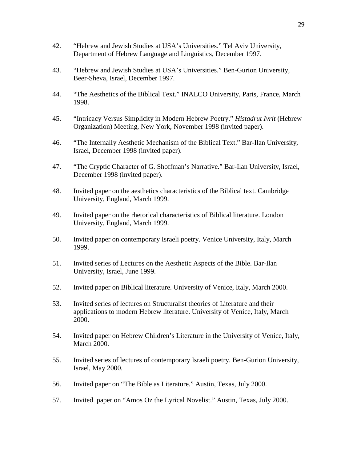- 42. "Hebrew and Jewish Studies at USA's Universities." Tel Aviv University, Department of Hebrew Language and Linguistics, December 1997.
- 43. "Hebrew and Jewish Studies at USA's Universities." Ben-Gurion University, Beer-Sheva, Israel, December 1997.
- 44. "The Aesthetics of the Biblical Text." INALCO University, Paris, France, March 1998.
- 45. "Intricacy Versus Simplicity in Modern Hebrew Poetry." *Histadrut Ivrit* (Hebrew Organization) Meeting, New York, November 1998 (invited paper).
- 46. "The Internally Aesthetic Mechanism of the Biblical Text." Bar-Ilan University, Israel, December 1998 (invited paper).
- 47. "The Cryptic Character of G. Shoffman's Narrative." Bar-Ilan University, Israel, December 1998 (invited paper).
- 48. Invited paper on the aesthetics characteristics of the Biblical text. Cambridge University, England, March 1999.
- 49. Invited paper on the rhetorical characteristics of Biblical literature. London University, England, March 1999.
- 50. Invited paper on contemporary Israeli poetry. Venice University, Italy, March 1999.
- 51. Invited series of Lectures on the Aesthetic Aspects of the Bible. Bar-Ilan University, Israel, June 1999.
- 52. Invited paper on Biblical literature. University of Venice, Italy, March 2000.
- 53. Invited series of lectures on Structuralist theories of Literature and their applications to modern Hebrew literature. University of Venice, Italy, March 2000.
- 54. Invited paper on Hebrew Children's Literature in the University of Venice, Italy, March 2000.
- 55. Invited series of lectures of contemporary Israeli poetry. Ben-Gurion University, Israel, May 2000.
- 56. Invited paper on "The Bible as Literature." Austin, Texas, July 2000.
- 57. Invited paper on "Amos Oz the Lyrical Novelist." Austin, Texas, July 2000.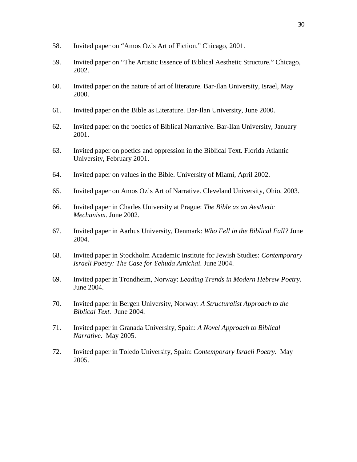- 58. Invited paper on "Amos Oz's Art of Fiction." Chicago, 2001.
- 59. Invited paper on "The Artistic Essence of Biblical Aesthetic Structure." Chicago, 2002.
- 60. Invited paper on the nature of art of literature. Bar-Ilan University, Israel, May 2000.
- 61. Invited paper on the Bible as Literature. Bar-Ilan University, June 2000.
- 62. Invited paper on the poetics of Biblical Narrartive. Bar-Ilan University, January 2001.
- 63. Invited paper on poetics and oppression in the Biblical Text. Florida Atlantic University, February 2001.
- 64. Invited paper on values in the Bible. University of Miami, April 2002.
- 65. Invited paper on Amos Oz's Art of Narrative. Cleveland University, Ohio, 2003.
- 66. Invited paper in Charles University at Prague: *The Bible as an Aesthetic Mechanism*. June 2002.
- 67. Invited paper in Aarhus University, Denmark: *Who Fell in the Biblical Fall?* June 2004.
- 68. Invited paper in Stockholm Academic Institute for Jewish Studies: *Contemporary Israeli Poetry: The Case for Yehuda Amichai*. June 2004.
- 69. Invited paper in Trondheim, Norway: *Leading Trends in Modern Hebrew Poetry*. June 2004.
- 70. Invited paper in Bergen University, Norway: *A Structuralist Approach to the Biblical Text*. June 2004.
- 71. Invited paper in Granada University, Spain: *A Novel Approach to Biblical Narrative*. May 2005.
- 72. Invited paper in Toledo University, Spain: *Contemporary Israeli Poetry*. May 2005.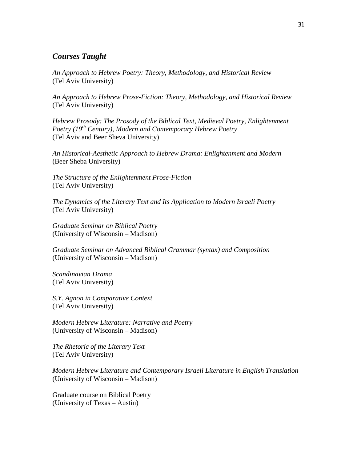#### *Courses Taught*

*An Approach to Hebrew Poetry: Theory, Methodology, and Historical Review* (Tel Aviv University)

*An Approach to Hebrew Prose-Fiction: Theory, Methodology, and Historical Review* (Tel Aviv University)

*Hebrew Prosody: The Prosody of the Biblical Text, Medieval Poetry, Enlightenment Poetry (19th Century), Modern and Contemporary Hebrew Poetry* (Tel Aviv and Beer Sheva University)

*An Historical-Aesthetic Approach to Hebrew Drama: Enlightenment and Modern* (Beer Sheba University)

*The Structure of the Enlightenment Prose-Fiction* (Tel Aviv University)

*The Dynamics of the Literary Text and Its Application to Modern Israeli Poetry* (Tel Aviv University)

*Graduate Seminar on Biblical Poetry* (University of Wisconsin – Madison)

*Graduate Seminar on Advanced Biblical Grammar (syntax) and Composition* (University of Wisconsin – Madison)

*Scandinavian Drama* (Tel Aviv University)

*S.Y. Agnon in Comparative Context* (Tel Aviv University)

*Modern Hebrew Literature: Narrative and Poetry* (University of Wisconsin – Madison)

*The Rhetoric of the Literary Text* (Tel Aviv University)

*Modern Hebrew Literature and Contemporary Israeli Literature in English Translation* (University of Wisconsin – Madison)

Graduate course on Biblical Poetry (University of Texas – Austin)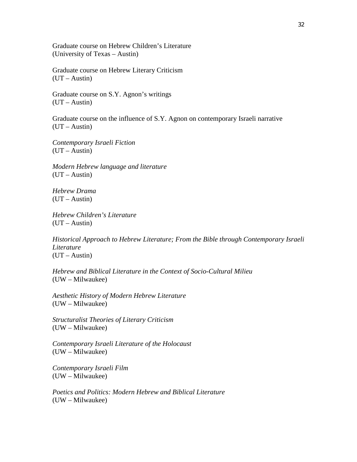Graduate course on Hebrew Children's Literature (University of Texas – Austin)

Graduate course on Hebrew Literary Criticism (UT – Austin)

Graduate course on S.Y. Agnon's writings  $(UT - Austin)$ 

Graduate course on the influence of S.Y. Agnon on contemporary Israeli narrative  $(UT - Austin)$ 

*Contemporary Israeli Fiction*  $(UT - Austin)$ 

*Modern Hebrew language and literature* (UT – Austin)

*Hebrew Drama*  $(UT - Austin)$ 

*Hebrew Children's Literature*  $(UT - Austin)$ 

*Historical Approach to Hebrew Literature; From the Bible through Contemporary Israeli Literature* (UT – Austin)

*Hebrew and Biblical Literature in the Context of Socio-Cultural Milieu* (UW – Milwaukee)

*Aesthetic History of Modern Hebrew Literature* (UW – Milwaukee)

*Structuralist Theories of Literary Criticism* (UW – Milwaukee)

*Contemporary Israeli Literature of the Holocaust* (UW – Milwaukee)

*Contemporary Israeli Film* (UW – Milwaukee)

*Poetics and Politics: Modern Hebrew and Biblical Literature* (UW – Milwaukee)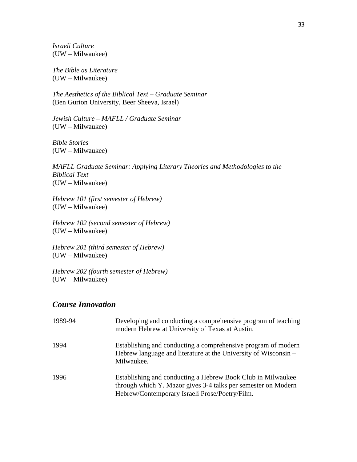*Israeli Culture* (UW – Milwaukee)

*The Bible as Literature* (UW – Milwaukee)

*The Aesthetics of the Biblical Text – Graduate Seminar* (Ben Gurion University, Beer Sheeva, Israel)

*Jewish Culture – MAFLL / Graduate Seminar* (UW – Milwaukee)

*Bible Stories* (UW – Milwaukee)

*MAFLL Graduate Seminar: Applying Literary Theories and Methodologies to the Biblical Text* (UW – Milwaukee)

*Hebrew 101 (first semester of Hebrew)* (UW – Milwaukee)

*Hebrew 102 (second semester of Hebrew)* (UW – Milwaukee)

*Hebrew 201 (third semester of Hebrew)* (UW – Milwaukee)

*Hebrew 202 (fourth semester of Hebrew)* (UW – Milwaukee)

#### *Course Innovation*

| 1989-94 | Developing and conducting a comprehensive program of teaching<br>modern Hebrew at University of Texas at Austin.                                                               |
|---------|--------------------------------------------------------------------------------------------------------------------------------------------------------------------------------|
| 1994    | Establishing and conducting a comprehensive program of modern<br>Hebrew language and literature at the University of Wisconsin –<br>Milwaukee.                                 |
| 1996    | Establishing and conducting a Hebrew Book Club in Milwaukee<br>through which Y. Mazor gives 3-4 talks per semester on Modern<br>Hebrew/Contemporary Israeli Prose/Poetry/Film. |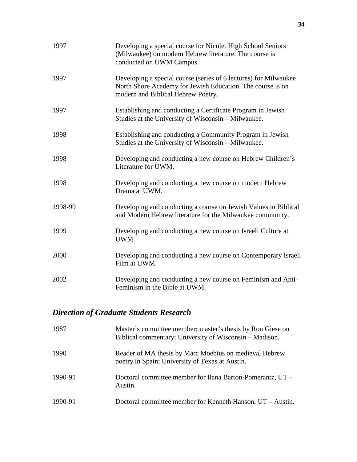| 1997    | Developing a special course for Nicolet High School Seniors<br>(Milwaukee) on modern Hebrew literature. The course is<br>conducted on UWM Campus.                    |
|---------|----------------------------------------------------------------------------------------------------------------------------------------------------------------------|
| 1997    | Developing a special course (series of 6 lectures) for Milwaukee<br>North Shore Academy for Jewish Education. The course is on<br>modern and Biblical Hebrew Poetry. |
| 1997    | Establishing and conducting a Certificate Program in Jewish<br>Studies at the University of Wisconsin - Milwaukee.                                                   |
| 1998    | Establishing and conducting a Community Program in Jewish<br>Studies at the University of Wisconsin - Milwaukee.                                                     |
| 1998    | Developing and conducting a new course on Hebrew Children's<br>Literature for UWM.                                                                                   |
| 1998    | Developing and conducting a new course on modern Hebrew<br>Drama at UWM.                                                                                             |
| 1998-99 | Developing and conducting a course on Jewish Values in Biblical<br>and Modern Hebrew literature for the Milwaukee community.                                         |
| 1999    | Developing and conducting a new course on Israeli Culture at<br>UWM.                                                                                                 |
| 2000    | Developing and conducting a new course on Contemporary Israeli<br>Film at UWM.                                                                                       |
| 2002    | Developing and conducting a new course on Feminism and Anti-<br>Feminism in the Bible at UWM.                                                                        |

# *Direction of Graduate Students Research*

| 1987    | Master's committee member; master's thesis by Ron Giese on<br>Biblical commentary; University of Wisconsin – Madison. |
|---------|-----------------------------------------------------------------------------------------------------------------------|
| 1990    | Reader of MA thesis by Marc Moebius on medieval Hebrew<br>poetry in Spain; University of Texas at Austin.             |
| 1990-91 | Doctoral committee member for Ilana Barton-Pomerantz, UT -<br>Austin.                                                 |
| 1990-91 | Doctoral committee member for Kenneth Hanson, UT – Austin.                                                            |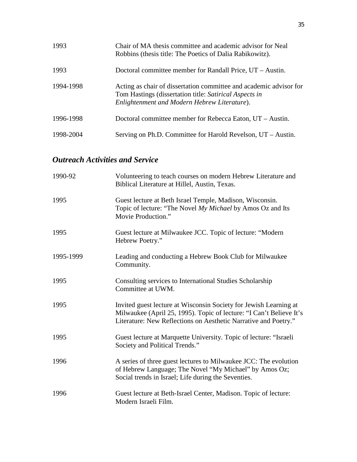| 1993      | Chair of MA thesis committee and academic advisor for Neal<br>Robbins (thesis title: The Poetics of Dalia Rabikowitz).                                                       |
|-----------|------------------------------------------------------------------------------------------------------------------------------------------------------------------------------|
| 1993      | Doctoral committee member for Randall Price, UT – Austin.                                                                                                                    |
| 1994-1998 | Acting as chair of dissertation committee and academic advisor for<br>Tom Hastings (dissertation title: Satirical Aspects in<br>Enlightenment and Modern Hebrew Literature). |
| 1996-1998 | Doctoral committee member for Rebecca Eaton, UT – Austin.                                                                                                                    |
| 1998-2004 | Serving on Ph.D. Committee for Harold Revelson, UT – Austin.                                                                                                                 |

## *Outreach Activities and Service*

| 1990-92   | Volunteering to teach courses on modern Hebrew Literature and<br>Biblical Literature at Hillel, Austin, Texas.                                                                                              |
|-----------|-------------------------------------------------------------------------------------------------------------------------------------------------------------------------------------------------------------|
| 1995      | Guest lecture at Beth Israel Temple, Madison, Wisconsin.<br>Topic of lecture: "The Novel My Michael by Amos Oz and Its<br>Movie Production."                                                                |
| 1995      | Guest lecture at Milwaukee JCC. Topic of lecture: "Modern"<br>Hebrew Poetry."                                                                                                                               |
| 1995-1999 | Leading and conducting a Hebrew Book Club for Milwaukee<br>Community.                                                                                                                                       |
| 1995      | Consulting services to International Studies Scholarship<br>Committee at UWM.                                                                                                                               |
| 1995      | Invited guest lecture at Wisconsin Society for Jewish Learning at<br>Milwaukee (April 25, 1995). Topic of lecture: "I Can't Believe It's<br>Literature: New Reflections on Aesthetic Narrative and Poetry." |
| 1995      | Guest lecture at Marquette University. Topic of lecture: "Israeli<br>Society and Political Trends."                                                                                                         |
| 1996      | A series of three guest lectures to Milwaukee JCC: The evolution<br>of Hebrew Language; The Novel "My Michael" by Amos Oz;<br>Social trends in Israel; Life during the Seventies.                           |
| 1996      | Guest lecture at Beth-Israel Center, Madison. Topic of lecture:<br>Modern Israeli Film.                                                                                                                     |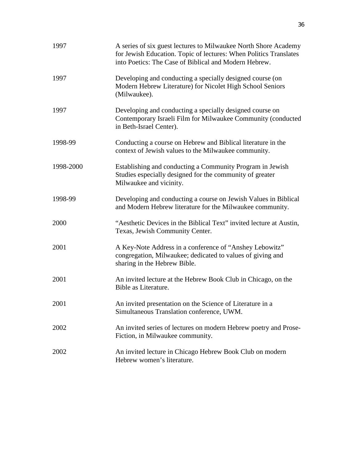| 1997      | A series of six guest lectures to Milwaukee North Shore Academy<br>for Jewish Education. Topic of lectures: When Politics Translates<br>into Poetics: The Case of Biblical and Modern Hebrew. |
|-----------|-----------------------------------------------------------------------------------------------------------------------------------------------------------------------------------------------|
| 1997      | Developing and conducting a specially designed course (on<br>Modern Hebrew Literature) for Nicolet High School Seniors<br>(Milwaukee).                                                        |
| 1997      | Developing and conducting a specially designed course on<br>Contemporary Israeli Film for Milwaukee Community (conducted<br>in Beth-Israel Center).                                           |
| 1998-99   | Conducting a course on Hebrew and Biblical literature in the<br>context of Jewish values to the Milwaukee community.                                                                          |
| 1998-2000 | Establishing and conducting a Community Program in Jewish<br>Studies especially designed for the community of greater<br>Milwaukee and vicinity.                                              |
| 1998-99   | Developing and conducting a course on Jewish Values in Biblical<br>and Modern Hebrew literature for the Milwaukee community.                                                                  |
| 2000      | "Aesthetic Devices in the Biblical Text" invited lecture at Austin,<br>Texas, Jewish Community Center.                                                                                        |
| 2001      | A Key-Note Address in a conference of "Anshey Lebowitz"<br>congregation, Milwaukee; dedicated to values of giving and<br>sharing in the Hebrew Bible.                                         |
| 2001      | An invited lecture at the Hebrew Book Club in Chicago, on the<br>Bible as Literature.                                                                                                         |
| 2001      | An invited presentation on the Science of Literature in a<br>Simultaneous Translation conference, UWM.                                                                                        |
| 2002      | An invited series of lectures on modern Hebrew poetry and Prose-<br>Fiction, in Milwaukee community.                                                                                          |
| 2002      | An invited lecture in Chicago Hebrew Book Club on modern<br>Hebrew women's literature.                                                                                                        |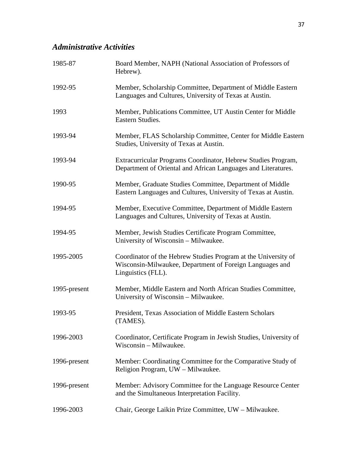## *Administrative Activities*

| 1985-87      | Board Member, NAPH (National Association of Professors of<br>Hebrew).                                                                            |
|--------------|--------------------------------------------------------------------------------------------------------------------------------------------------|
| 1992-95      | Member, Scholarship Committee, Department of Middle Eastern<br>Languages and Cultures, University of Texas at Austin.                            |
| 1993         | Member, Publications Committee, UT Austin Center for Middle<br>Eastern Studies.                                                                  |
| 1993-94      | Member, FLAS Scholarship Committee, Center for Middle Eastern<br>Studies, University of Texas at Austin.                                         |
| 1993-94      | Extracurricular Programs Coordinator, Hebrew Studies Program,<br>Department of Oriental and African Languages and Literatures.                   |
| 1990-95      | Member, Graduate Studies Committee, Department of Middle<br>Eastern Languages and Cultures, University of Texas at Austin.                       |
| 1994-95      | Member, Executive Committee, Department of Middle Eastern<br>Languages and Cultures, University of Texas at Austin.                              |
| 1994-95      | Member, Jewish Studies Certificate Program Committee,<br>University of Wisconsin – Milwaukee.                                                    |
| 1995-2005    | Coordinator of the Hebrew Studies Program at the University of<br>Wisconsin-Milwaukee, Department of Foreign Languages and<br>Linguistics (FLL). |
| 1995-present | Member, Middle Eastern and North African Studies Committee,<br>University of Wisconsin – Milwaukee.                                              |
| 1993-95      | President, Texas Association of Middle Eastern Scholars<br>(TAMES).                                                                              |
| 1996-2003    | Coordinator, Certificate Program in Jewish Studies, University of<br>Wisconsin - Milwaukee.                                                      |
| 1996-present | Member: Coordinating Committee for the Comparative Study of<br>Religion Program, UW - Milwaukee.                                                 |
| 1996-present | Member: Advisory Committee for the Language Resource Center<br>and the Simultaneous Interpretation Facility.                                     |
| 1996-2003    | Chair, George Laikin Prize Committee, UW - Milwaukee.                                                                                            |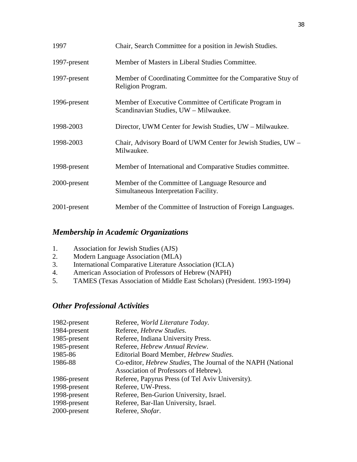| 1997         | Chair, Search Committee for a position in Jewish Studies.                                        |
|--------------|--------------------------------------------------------------------------------------------------|
| 1997-present | Member of Masters in Liberal Studies Committee.                                                  |
| 1997-present | Member of Coordinating Committee for the Comparative Stuy of<br>Religion Program.                |
| 1996-present | Member of Executive Committee of Certificate Program in<br>Scandinavian Studies, UW - Milwaukee. |
| 1998-2003    | Director, UWM Center for Jewish Studies, UW – Milwaukee.                                         |
| 1998-2003    | Chair, Advisory Board of UWM Center for Jewish Studies, UW -<br>Milwaukee.                       |
| 1998-present | Member of International and Comparative Studies committee.                                       |
| 2000-present | Member of the Committee of Language Resource and<br>Simultaneous Interpretation Facility.        |
| 2001-present | Member of the Committee of Instruction of Foreign Languages.                                     |

## *Membership in Academic Organizations*

- 1. Association for Jewish Studies (AJS)
- 2. Modern Language Association (MLA)<br>3. International Comparative Literature A
- International Comparative Literature Association (ICLA)
- 4. American Association of Professors of Hebrew (NAPH)
- 5. TAMES (Texas Association of Middle East Scholars) (President. 1993-1994)

## *Other Professional Activities*

| 1982-present | Referee, World Literature Today.                                     |
|--------------|----------------------------------------------------------------------|
| 1984-present | Referee, Hebrew Studies.                                             |
| 1985-present | Referee, Indiana University Press.                                   |
| 1985-present | Referee, Hebrew Annual Review.                                       |
| 1985-86      | Editorial Board Member, Hebrew Studies.                              |
| 1986-88      | Co-editor, <i>Hebrew Studies</i> , The Journal of the NAPH (National |
|              | Association of Professors of Hebrew).                                |
| 1986-present | Referee, Papyrus Press (of Tel Aviv University).                     |
| 1998-present | Referee, UW-Press.                                                   |
| 1998-present | Referee, Ben-Gurion University, Israel.                              |
| 1998-present | Referee, Bar-Ilan University, Israel.                                |
| 2000-present | Referee, Shofar.                                                     |
|              |                                                                      |